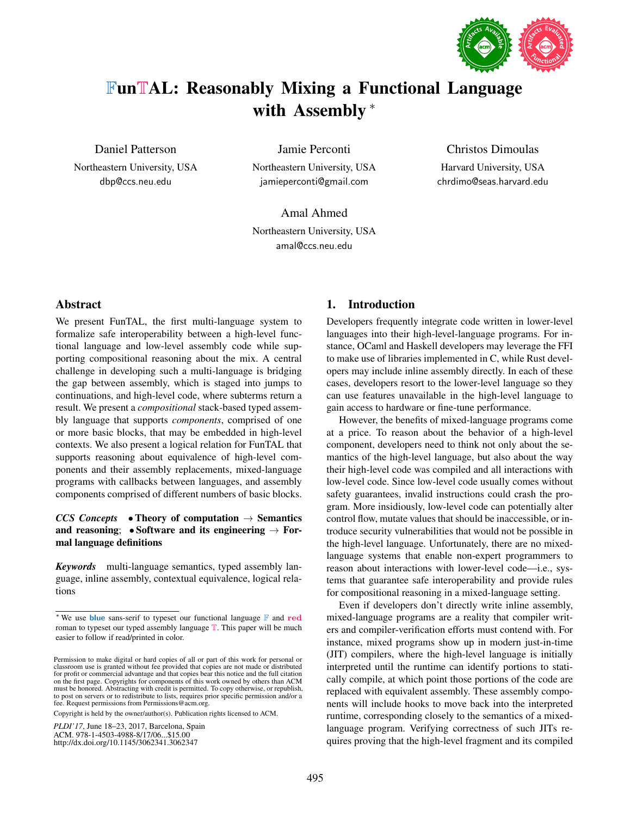

# FunTAL: Reasonably Mixing a Functional Language with Assembly <sup>\*</sup>

Daniel Patterson

Northeastern University, USA dbp@ccs.neu.edu

Jamie Perconti

Northeastern University, USA jamieperconti@gmail.com

Amal Ahmed Northeastern University, USA amal@ccs.neu.edu

## Christos Dimoulas

Harvard University, USA chrdimo@seas.harvard.edu

# Abstract

We present FunTAL, the first multi-language system to formalize safe interoperability between a high-level functional language and low-level assembly code while supporting compositional reasoning about the mix. A central challenge in developing such a multi-language is bridging the gap between assembly, which is staged into jumps to continuations, and high-level code, where subterms return a result. We present a *compositional* stack-based typed assembly language that supports *components*, comprised of one or more basic blocks, that may be embedded in high-level contexts. We also present a logical relation for FunTAL that supports reasoning about equivalence of high-level components and their assembly replacements, mixed-language programs with callbacks between languages, and assembly components comprised of different numbers of basic blocks.

# *CCS Concepts* • Theory of computation  $\rightarrow$  Semantics and reasoning; • Software and its engineering  $\rightarrow$  Formal language definitions

*Keywords* multi-language semantics, typed assembly language, inline assembly, contextual equivalence, logical relations

Copyright is held by the owner/author(s). Publication rights licensed to ACM.

*PLDI'17*, June 18–23, 2017, Barcelona, Spain ACM. 978-1-4503-4988-8/17/06...\$15.00

http://dx.doi.org/10.1145/3062341.3062347

# 1. Introduction

Developers frequently integrate code written in lower-level languages into their high-level-language programs. For instance, OCaml and Haskell developers may leverage the FFI to make use of libraries implemented in C, while Rust developers may include inline assembly directly. In each of these cases, developers resort to the lower-level language so they can use features unavailable in the high-level language to gain access to hardware or fine-tune performance.

However, the benefits of mixed-language programs come at a price. To reason about the behavior of a high-level component, developers need to think not only about the semantics of the high-level language, but also about the way their high-level code was compiled and all interactions with low-level code. Since low-level code usually comes without safety guarantees, invalid instructions could crash the program. More insidiously, low-level code can potentially alter control flow, mutate values that should be inaccessible, or introduce security vulnerabilities that would not be possible in the high-level language. Unfortunately, there are no mixedlanguage systems that enable non-expert programmers to reason about interactions with lower-level code—i.e., systems that guarantee safe interoperability and provide rules for compositional reasoning in a mixed-language setting.

Even if developers don't directly write inline assembly, mixed-language programs are a reality that compiler writers and compiler-verification efforts must contend with. For instance, mixed programs show up in modern just-in-time (JIT) compilers, where the high-level language is initially interpreted until the runtime can identify portions to statically compile, at which point those portions of the code are replaced with equivalent assembly. These assembly components will include hooks to move back into the interpreted runtime, corresponding closely to the semantics of a mixedlanguage program. Verifying correctness of such JITs requires proving that the high-level fragment and its compiled

<sup>∗</sup> We use blue sans-serif to typeset our functional language F and red roman to typeset our typed assembly language T. This paper will be much easier to follow if read/printed in color.

Permission to make digital or hard copies of all or part of this work for personal or classroom use is granted without fee provided that copies are not made or distributed for profit or commercial advantage and that copies bear this notice and the full citation on the first page. Copyrights for components of this work owned by others than ACM must be honored. Abstracting with credit is permitted. To copy otherwise, or republish, to post on servers or to redistribute to lists, requires prior specific permission and/or a fee. Request permissions from Permissions@acm.org.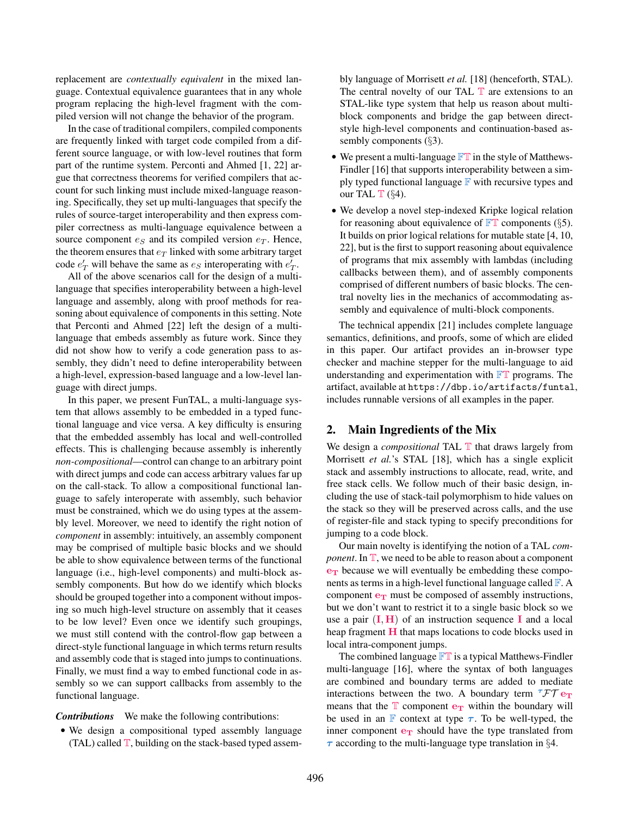replacement are *contextually equivalent* in the mixed language. Contextual equivalence guarantees that in any whole program replacing the high-level fragment with the compiled version will not change the behavior of the program.

In the case of traditional compilers, compiled components are frequently linked with target code compiled from a different source language, or with low-level routines that form part of the runtime system. Perconti and Ahmed [1, 22] argue that correctness theorems for verified compilers that account for such linking must include mixed-language reasoning. Specifically, they set up multi-languages that specify the rules of source-target interoperability and then express compiler correctness as multi-language equivalence between a source component  $e_S$  and its compiled version  $e_T$ . Hence, the theorem ensures that  $e_T$  linked with some arbitrary target code  $e'_T$  will behave the same as  $e_S$  interoperating with  $e'_T$ .

All of the above scenarios call for the design of a multilanguage that specifies interoperability between a high-level language and assembly, along with proof methods for reasoning about equivalence of components in this setting. Note that Perconti and Ahmed [22] left the design of a multilanguage that embeds assembly as future work. Since they did not show how to verify a code generation pass to assembly, they didn't need to define interoperability between a high-level, expression-based language and a low-level language with direct jumps.

In this paper, we present FunTAL, a multi-language system that allows assembly to be embedded in a typed functional language and vice versa. A key difficulty is ensuring that the embedded assembly has local and well-controlled effects. This is challenging because assembly is inherently *non-compositional*—control can change to an arbitrary point with direct jumps and code can access arbitrary values far up on the call-stack. To allow a compositional functional language to safely interoperate with assembly, such behavior must be constrained, which we do using types at the assembly level. Moreover, we need to identify the right notion of *component* in assembly: intuitively, an assembly component may be comprised of multiple basic blocks and we should be able to show equivalence between terms of the functional language (i.e., high-level components) and multi-block assembly components. But how do we identify which blocks should be grouped together into a component without imposing so much high-level structure on assembly that it ceases to be low level? Even once we identify such groupings, we must still contend with the control-flow gap between a direct-style functional language in which terms return results and assembly code that is staged into jumps to continuations. Finally, we must find a way to embed functional code in assembly so we can support callbacks from assembly to the functional language.

*Contributions* We make the following contributions:

• We design a compositional typed assembly language (TAL) called  $\mathbb T$ , building on the stack-based typed assembly language of Morrisett *et al.* [18] (henceforth, STAL). The central novelty of our TAL  $\mathbb T$  are extensions to an STAL-like type system that help us reason about multiblock components and bridge the gap between directstyle high-level components and continuation-based assembly components (§3).

- We present a multi-language  $\mathbb{FT}$  in the style of Matthews-Findler [16] that supports interoperability between a simply typed functional language  $\mathbb F$  with recursive types and our TAL  $\mathbb{T}$  (§4).
- We develop a novel step-indexed Kripke logical relation for reasoning about equivalence of  $\mathbb{FT}$  components (§5). It builds on prior logical relations for mutable state [4, 10, 22], but is the first to support reasoning about equivalence of programs that mix assembly with lambdas (including callbacks between them), and of assembly components comprised of different numbers of basic blocks. The central novelty lies in the mechanics of accommodating assembly and equivalence of multi-block components.

The technical appendix [21] includes complete language semantics, definitions, and proofs, some of which are elided in this paper. Our artifact provides an in-browser type checker and machine stepper for the multi-language to aid understanding and experimentation with  $\mathbb{FT}$  programs. The artifact, available at https://dbp.io/artifacts/funtal, includes runnable versions of all examples in the paper.

## 2. Main Ingredients of the Mix

We design a *compositional* TAL **T** that draws largely from Morrisett *et al.*'s STAL [18], which has a single explicit stack and assembly instructions to allocate, read, write, and free stack cells. We follow much of their basic design, including the use of stack-tail polymorphism to hide values on the stack so they will be preserved across calls, and the use of register-file and stack typing to specify preconditions for jumping to a code block.

Our main novelty is identifying the notion of a TAL *component*. In  $\mathbb{T}$ , we need to be able to reason about a component  $e_T$  because we will eventually be embedding these components as terms in a high-level functional language called  $\mathbb{F}$ . A component  $e_T$  must be composed of assembly instructions, but we don't want to restrict it to a single basic block so we use a pair  $(I, H)$  of an instruction sequence I and a local heap fragment  $H$  that maps locations to code blocks used in local intra-component jumps.

The combined language  $\mathbb{FT}$  is a typical Matthews-Findler multi-language [16], where the syntax of both languages are combined and boundary terms are added to mediate interactions between the two. A boundary term  $TFT$  e<sub>T</sub> means that the  $T$  component  $e_T$  within the boundary will be used in an F context at type  $\tau$ . To be well-typed, the inner component  $e_T$  should have the type translated from  $\tau$  according to the multi-language type translation in §4.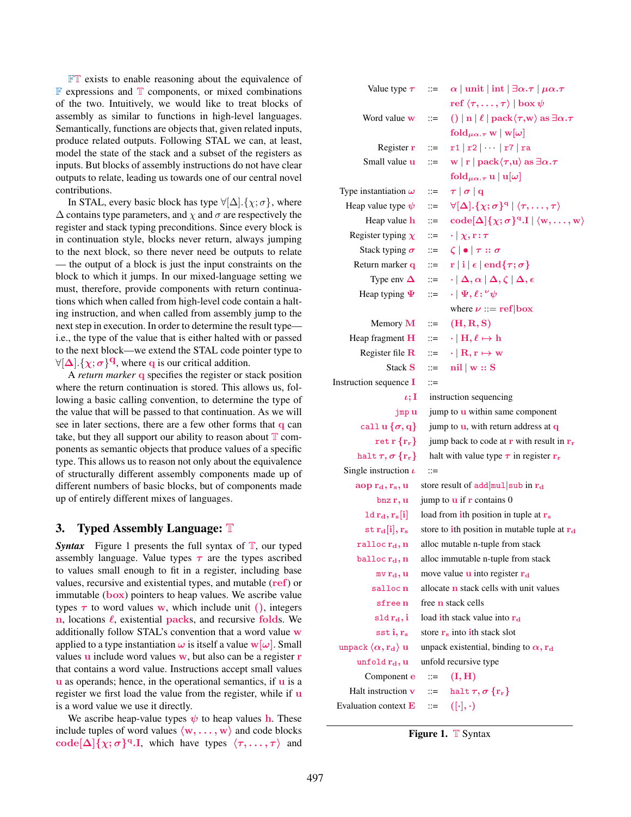FT exists to enable reasoning about the equivalence of  $\mathbb F$  expressions and  $\mathbb T$  components, or mixed combinations of the two. Intuitively, we would like to treat blocks of assembly as similar to functions in high-level languages. Semantically, functions are objects that, given related inputs, produce related outputs. Following STAL we can, at least, model the state of the stack and a subset of the registers as inputs. But blocks of assembly instructions do not have clear outputs to relate, leading us towards one of our central novel contributions.

In STAL, every basic block has type  $\forall [\Delta] . {\chi; \sigma}$ , where  $\Delta$  contains type parameters, and  $\chi$  and  $\sigma$  are respectively the register and stack typing preconditions. Since every block is in continuation style, blocks never return, always jumping to the next block, so there never need be outputs to relate — the output of a block is just the input constraints on the block to which it jumps. In our mixed-language setting we must, therefore, provide components with return continuations which when called from high-level code contain a halting instruction, and when called from assembly jump to the next step in execution. In order to determine the result type i.e., the type of the value that is either halted with or passed to the next block—we extend the STAL code pointer type to  $\forall [\Delta] \cdot {\{\chi; \sigma\}}^{\mathbf{q}}$ , where q is our critical addition.

A *return marker* q specifies the register or stack position where the return continuation is stored. This allows us, following a basic calling convention, to determine the type of the value that will be passed to that continuation. As we will see in later sections, there are a few other forms that q can take, but they all support our ability to reason about  $T$  components as semantic objects that produce values of a specific type. This allows us to reason not only about the equivalence of structurally different assembly components made up of different numbers of basic blocks, but of components made up of entirely different mixes of languages.

# 3. Typed Assembly Language: T

*Syntax* Figure 1 presents the full syntax of  $\mathbb{T}$ , our typed assembly language. Value types  $\tau$  are the types ascribed to values small enough to fit in a register, including base values, recursive and existential types, and mutable (ref) or immutable  $(box)$  pointers to heap values. We ascribe value types  $\tau$  to word values w, which include unit (), integers n, locations  $\ell$ , existential packs, and recursive folds. We additionally follow STAL's convention that a word value w applied to a type instantiation  $\omega$  is itself a value  $w[\omega]$ . Small values  $\bf{u}$  include word values  $\bf{w}$ , but also can be a register  $\bf{r}$ that contains a word value. Instructions accept small values  $\bf{u}$  as operands; hence, in the operational semantics, if  $\bf{u}$  is a register we first load the value from the register, while if u is a word value we use it directly.

We ascribe heap-value types  $\psi$  to heap values h. These include tuples of word values  $\langle w, \ldots, w \rangle$  and code blocks code[ $\Delta$ ] $\{\chi; \sigma\}^{\mathbf{q}}$ .I, which have types  $\langle \tau, \ldots, \tau \rangle$  and

| Value type $\tau$                                                                                                 | $::=$                 | $\alpha$   unit   int   $\exists \alpha.\tau \mid \mu\alpha.\tau$                                             |
|-------------------------------------------------------------------------------------------------------------------|-----------------------|---------------------------------------------------------------------------------------------------------------|
|                                                                                                                   |                       | ref $\langle \tau, \ldots, \tau \rangle \mid \mathbf{box} \, \psi$                                            |
| Word value <b>w</b>                                                                                               | $::=$                 | $() \ln  \ell $ pack $\langle \tau, w \rangle$ as $\exists \alpha . \tau$                                     |
|                                                                                                                   |                       | fold $\mu \alpha. \tau \le  w  \omega$                                                                        |
| Register r                                                                                                        | $::=$                 | $r1   r2   \cdots   r7   r3$                                                                                  |
| Small value <b>u</b>                                                                                              | $::=$                 | w   r   pack $\langle \tau, u \rangle$ as $\exists \alpha . \tau$                                             |
|                                                                                                                   |                       | fold $_{\mu\alpha.\tau}$ u   u[ $\omega$ ]                                                                    |
| Type instantiation $\omega$                                                                                       | $::=$                 | $\tau  \sigma   q$                                                                                            |
| Heap value type $\psi$                                                                                            | $\mathrel{\mathop:}=$ | $\forall [\Delta].\{\chi;\sigma\}^q   \langle \tau,\ldots,\tau\rangle$                                        |
| Heap value h                                                                                                      | ∷≕                    | $\mathrm{code}[\Delta]\{\chi;\sigma\}^{\mathrm{q}}.\mathrm{I}   \langle \mathrm{w},\ldots,\mathrm{w} \rangle$ |
| Register typing $\chi$                                                                                            | $\mathrel{\mathop:}=$ | $\cdot   \chi, r : \tau$                                                                                      |
| Stack typing $\sigma$                                                                                             | $\mathrel{\mathop:}=$ | $\zeta$ $\bullet$ $\tau :: \sigma$                                                                            |
| Return marker q                                                                                                   | ∷≕                    | $\lVert \mathbf{r} \rVert$ i $\lVert \mathbf{\epsilon} \rVert$ end $\{\tau; \sigma\}$                         |
| Type env $\Delta$                                                                                                 | $\mathrel{\mathop:}=$ | $\cdot   \Delta, \alpha   \Delta, \zeta   \Delta, \epsilon$                                                   |
| Heap typing $\Psi$                                                                                                | $\mathrel{\mathop:}=$ | $\cdot\mid \Psi, \ell\colon {}^\nu\psi$                                                                       |
|                                                                                                                   |                       | where $\nu ::= ref box$                                                                                       |
| Memory M                                                                                                          | $\mathrel{\mathop:}=$ | (H, R, S)                                                                                                     |
| Heap fragment H                                                                                                   | $\mathrel{\mathop:}=$ | $\cdot \mid H, \ell \mapsto h$                                                                                |
| Register file $\bf R$                                                                                             | $\mathrel{\mathop:}=$ | $\cdot \mid \text{R}, \text{r} \mapsto \text{w}$                                                              |
| Stack S                                                                                                           | $::=$                 | $\left \mathbf{n}\right  \mid \mathbf{w} :: \mathbf{S}$                                                       |
| Instruction sequence I                                                                                            | $::=$                 |                                                                                                               |
| $\iota;I$                                                                                                         |                       | instruction sequencing                                                                                        |
| jmp u                                                                                                             |                       | jump to <b>u</b> within same component                                                                        |
| call u $\{\sigma, \mathrm{q}\}$                                                                                   |                       | jump to $\bf{u}$ , with return address at $\bf{q}$                                                            |
| $\text{ret } \mathbf{r} \left\{ \mathbf{r_r} \right\}$                                                            |                       | jump back to code at $\bf{r}$ with result in $\bf{r}_r$                                                       |
| halt $\tau, \sigma\left\{\mathbf{r}_\mathrm{r}\right\}$                                                           |                       | halt with value type $\tau$ in register $r_r$                                                                 |
| Single instruction $\iota$                                                                                        | $::=$                 |                                                                                                               |
| $\mathop{\mathrm{aop}}\nolimits\mathop{\mathrm{r}_\mathrm{d}},\mathop{\mathrm{r}_\mathrm{s}},\mathop{\mathrm{u}}$ |                       | store result of $add$ mulsub in $r_d$                                                                         |
| bnz r, u                                                                                                          |                       | jump to $\bf{u}$ if $\bf{r}$ contains 0                                                                       |
| $1d r_d, r_s[i]$                                                                                                  |                       | load from ith position in tuple at $r_s$                                                                      |
| $\mathrm{st}\,\mathrm{r}_{\mathrm{d}}\mathrm{[i]},\mathrm{r}_{\mathrm{s}}$                                        |                       | store to ith position in mutable tuple at r <sub>d</sub>                                                      |
| $\tt{ralloc}\,{}r_{\rm d}, n$                                                                                     |                       | alloc mutable n-tuple from stack                                                                              |
| balloc $r_d, n$                                                                                                   |                       | alloc immutable n-tuple from stack                                                                            |
| mv r <sub>d</sub> , u                                                                                             |                       | move value <b>u</b> into register <b>r</b> <sub>d</sub>                                                       |
| salloc n                                                                                                          |                       | allocate <b>n</b> stack cells with unit values                                                                |
| sfree n                                                                                                           |                       | free <b>n</b> stack cells                                                                                     |
| $\operatorname{\mathsf{sd}}\mathbf{r}_{\operatorname{\mathsf{d}}},\mathbf{i}$                                     |                       | load ith stack value into r <sub>d</sub>                                                                      |

| <b>Figure 1.</b> $T$ Syntax |  |  |
|-----------------------------|--|--|
|                             |  |  |

sst i,  $r_s$  store  $r_s$  into ith stack slot unpack  $\langle \alpha, r_d \rangle$  u unpack existential, binding to  $\alpha, r_d$ 

unfold  $r_d$ , u unfold recursive type Component **e**  $::= (\mathbf{I}, \mathbf{H})$ Halt instruction  $\mathbf{v}$  ::= halt  $\tau, \sigma \{ \mathbf{r}_{r} \}$ 

Evaluation context  $\mathbf{E}$  ::=  $(|\cdot|, \cdot)$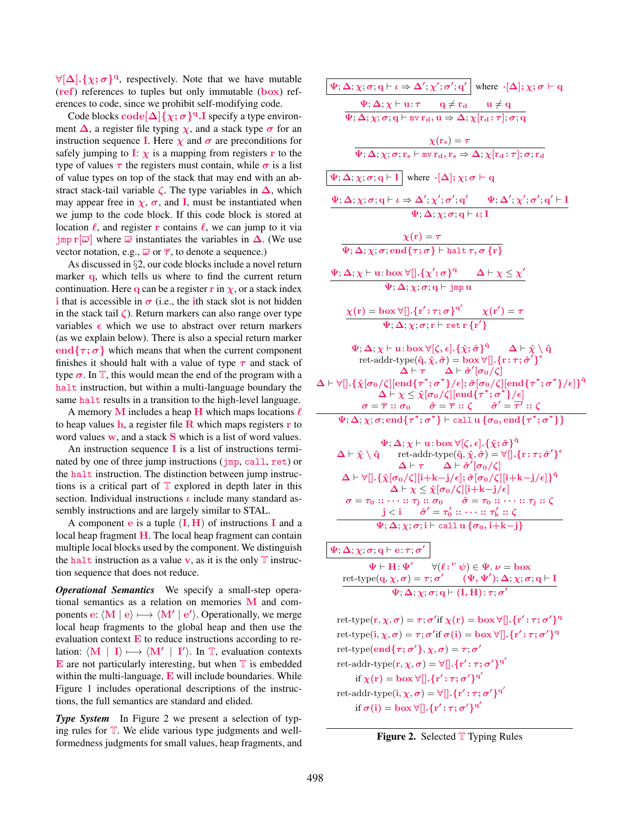$\forall [\Delta] \cdot {\{\chi; \sigma\}}^q$ , respectively. Note that we have mutable (ref) references to tuples but only immutable (box) references to code, since we prohibit self-modifying code.

Code blocks  $\text{code}[\Delta]\{\chi;\sigma\}^{\text{q}}$ . I specify a type environment  $\Delta$ , a register file typing  $\chi$ , and a stack type  $\sigma$  for an instruction sequence I. Here  $\chi$  and  $\sigma$  are preconditions for safely jumping to **I**:  $\chi$  is a mapping from registers **r** to the type of values  $\tau$  the registers must contain, while  $\sigma$  is a list of value types on top of the stack that may end with an abstract stack-tail variable  $\zeta$ . The type variables in  $\Delta$ , which may appear free in  $\chi$ ,  $\sigma$ , and **I**, must be instantiated when we jump to the code block. If this code block is stored at location  $\ell$ , and register r contains  $\ell$ , we can jump to it via  $\lim_{\omega} \frac{\overline{\omega}}{\omega}$  where  $\overline{\omega}$  instantiates the variables in  $\Delta$ . (We use vector notation, e.g.,  $\overline{\omega}$  or  $\overline{\tau}$ , to denote a sequence.)

As discussed in §2, our code blocks include a novel return marker q, which tells us where to find the current return continuation. Here q can be a register r in  $\chi$ , or a stack index i that is accessible in  $\sigma$  (i.e., the ith stack slot is not hidden in the stack tail  $\zeta$ ). Return markers can also range over type variables  $\epsilon$  which we use to abstract over return markers (as we explain below). There is also a special return marker end $\{\tau, \sigma\}$  which means that when the current component finishes it should halt with a value of type  $\tau$  and stack of type  $\sigma$ . In  $\mathbb{T}$ , this would mean the end of the program with a halt instruction, but within a multi-language boundary the same halt results in a transition to the high-level language.

A memory M includes a heap H which maps locations  $\ell$ to heap values  $h$ , a register file  $R$  which maps registers  $r$  to word values  $w$ , and a stack  $S$  which is a list of word values.

An instruction sequence  $\bf{I}$  is a list of instructions terminated by one of three jump instructions ( $\mu$ , call, ret) or the halt instruction. The distinction between jump instructions is a critical part of  $T$  explored in depth later in this section. Individual instructions  $\iota$  include many standard assembly instructions and are largely similar to STAL.

A component **e** is a tuple  $(I, H)$  of instructions **I** and a local heap fragment  $H$ . The local heap fragment can contain multiple local blocks used by the component. We distinguish the halt instruction as a value v, as it is the only  $\mathbb T$  instruction sequence that does not reduce.

*Operational Semantics* We specify a small-step operational semantics as a relation on memories  **and com**ponents e:  $\langle M | e \rangle \mapsto \langle M' | e' \rangle$ . Operationally, we merge local heap fragments to the global heap and then use the evaluation context  $\bf{E}$  to reduce instructions according to relation:  $\langle M | I \rangle \mapsto \langle M' | I' \rangle$ . In T, evaluation contexts  $\bf{E}$  are not particularly interesting, but when  $\bf{T}$  is embedded within the multi-language,  $E$  will include boundaries. While Figure 1 includes operational descriptions of the instructions, the full semantics are standard and elided.

*Type System* In Figure 2 we present a selection of typing rules for  $T$ . We elide various type judgments and wellformedness judgments for small values, heap fragments, and

| $\Psi$ ; $\Delta$ ; $\chi$ ; $\sigma$ ; $q \vdash \iota \Rightarrow \Delta'$ ; $\chi'$ ; $\sigma'$ ; $q'$   where $\cdot [\Delta]$ ; $\chi$ ; $\sigma \vdash q$                                                                                                                                                                                                                                      |
|------------------------------------------------------------------------------------------------------------------------------------------------------------------------------------------------------------------------------------------------------------------------------------------------------------------------------------------------------------------------------------------------------|
| $\Psi ; \Delta ; \chi \vdash \textbf{u} : \boldsymbol{\tau} \qquad \textbf{q} \neq \textbf{r}_{\textbf{d}} \qquad \textbf{u} \neq \textbf{q}$                                                                                                                                                                                                                                                        |
| $\Psi$ ; $\Delta$ ; $\chi$ ; $\sigma$ ; $\mathbf{q}$ $\vdash$ mv $\mathbf{r_d}$ , $\mathbf{u} \Rightarrow \Delta$ ; $\chi$ [ $\mathbf{r_d}$ : $\tau$ ]; $\sigma$ ; $\mathbf{q}$                                                                                                                                                                                                                      |
| $\boldsymbol{\chi}(\mathbf{r_s})=\boldsymbol{\tau}$                                                                                                                                                                                                                                                                                                                                                  |
| $\overline{\Psi, \Delta, \chi; \sigma; \mathbf{r_s} \vdash \mathtt{mv} \, \mathbf{r_d}, \mathbf{r_s} \Rightarrow \Delta, \chi [\mathbf{r_d} : \tau], \sigma; \mathbf{r_d}$                                                                                                                                                                                                                           |
| $\overline{\Psi}$ ; $\overline{\Delta}$ ; $\chi$ ; $\sigma$ ; $q \vdash I$   where $\cdot$ [ $\Delta$ ]; $\chi$ ; $\sigma \vdash q$                                                                                                                                                                                                                                                                  |
| $\frac{\Psi ; \Delta ; \chi ; \sigma ; \mathbf{q} \vdash \iota \Rightarrow \Delta' ; \chi' ; \sigma' ; \mathbf{q}' \qquad \Psi ; \Delta' ; \chi' ; \sigma' ; \mathbf{q}' \vdash \mathbf{I}}{\Psi ; \Delta ; \chi ; \sigma ; \mathbf{q} \vdash \iota ; \mathbf{I}}$                                                                                                                                   |
|                                                                                                                                                                                                                                                                                                                                                                                                      |
|                                                                                                                                                                                                                                                                                                                                                                                                      |
| $\frac{\chi(\mathbf{r}) = \tau}{\Psi; \Delta; \chi; \sigma; \mathrm{end}\{\tau; \sigma\} \vdash \mathrm{halt}\,\tau, \sigma\,\{\mathbf{r}\}}$                                                                                                                                                                                                                                                        |
| $\Psi_1 \Delta_1 \chi \vdash u : \text{box } \forall [] \cdot \{\chi'; \sigma\}^q$ $\Delta \vdash \chi \leq \chi'$                                                                                                                                                                                                                                                                                   |
| $\Psi$ ; $\Delta$ ; $\chi$ ; $\sigma$ ; $q \vdash$ jmp u                                                                                                                                                                                                                                                                                                                                             |
| $\chi(\mathbf{r}) = \mathbf{box} \, \forall [\![ .\{\mathbf{r}^{\prime} \!:\! \tau;\sigma\}^{\mathbf{q}^{\prime}} \quad \chi(\mathbf{r}^{\prime}) = \tau \ \ \overline{\Psi}; \Delta; \chi; \sigma; \mathbf{r} \vdash \text{ret}\,\mathbf{r}\,\{\mathbf{r}^{\prime}\}$                                                                                                                               |
|                                                                                                                                                                                                                                                                                                                                                                                                      |
| $\Psi ; \Delta ; \chi \vdash \mathrm{u} \ldotp \mathrm{box} \, \forall [\zeta , \epsilon] . \{ \hat{\chi} ; \hat{\sigma} \}^{\hat{\mathrm{q}}} \qquad \Delta \vdash \hat{\chi} \setminus \hat{\mathrm{q}}$                                                                                                                                                                                           |
| ret-addr-type $(\hat{q}, \hat{\chi}, \hat{\sigma}) = \mathbf{box} \forall [\cdot, \{r : \tau; \hat{\sigma}'\}^{\epsilon}]$<br>$\Delta \vdash \tau \quad \Delta \vdash \hat{\sigma}'[\sigma_0/\zeta]$                                                                                                                                                                                                 |
| $\Delta \vdash \forall [].\{\hat{\chi}[\sigma_0/\zeta][\mathrm{end}\{\tau^*;\sigma^*\}/\epsilon]; \hat{\sigma}[\sigma_0/\zeta][\mathrm{end}\{\tau^*;\sigma^*\}/\epsilon]\}^{\hat{\mathrm{q}}}$                                                                                                                                                                                                       |
| $\Delta \vdash \chi \leq \hat{\chi}[\sigma_0/\zeta][\text{end}\{\tau^*;\sigma^*\}/\epsilon]$<br>$\sigma = \overline{\tau} :: \sigma_0 \qquad \hat{\sigma} = \overline{\tau} :: \zeta \qquad \hat{\sigma}' = \overline{\tau}' :: \zeta$                                                                                                                                                               |
| $\Psi$ ; $\Delta$ ; $\chi$ ; $\sigma$ ; end $\{\tau^*; \sigma^*\}$ + call u $\{\sigma_0$ , end $\{\tau^*; \sigma^*\}\}$                                                                                                                                                                                                                                                                              |
|                                                                                                                                                                                                                                                                                                                                                                                                      |
| $\Psi$ ; $\Delta$ ; $\chi$ $\vdash$ u : box $\forall$ [ $\zeta$ , $\epsilon$ ]. { $\hat{\chi}$ ; $\hat{\sigma}$ } <sup><math>\hat{q}</math></sup><br>$\Delta \vdash \hat{\chi} \setminus \hat{\mathsf{q}}$<br>ret-addr-type $(\hat{\mathbf{q}}, \hat{\boldsymbol{\chi}}, \hat{\boldsymbol{\sigma}}) = \forall [\mathbf{]}.\{\mathbf{r} : \boldsymbol{\tau}; \hat{\boldsymbol{\sigma}}'\}^{\epsilon}$ |
| $\Delta \vdash \tau \quad \Delta \vdash \hat{\sigma}'[\sigma_0/\zeta]$                                                                                                                                                                                                                                                                                                                               |
| $\Delta \vdash \forall [].\{\hat{\chi}[\sigma_0/\zeta][i+k-j/\epsilon]; \hat{\sigma}[\sigma_0/\zeta][i+k-j/\epsilon]\}^{\hat{q}}$                                                                                                                                                                                                                                                                    |
| $\Delta \vdash \chi \leq \hat{\chi}[\sigma_0/\zeta][i+k-j/\epsilon]$                                                                                                                                                                                                                                                                                                                                 |
| $\sigma = \tau_0 :: \cdots :: \tau_j :: \sigma_0 \qquad \hat{\sigma} = \tau_0 :: \cdots :: \tau_j :: \zeta$<br>$j < i \qquad \hat{\sigma}' = \tau'_0 :: \cdots :: \tau'_k :: \zeta$                                                                                                                                                                                                                  |
| $\Psi$ ; $\Delta$ ; $\chi$ ; $\sigma$ ; i $\vdash$ call u { $\sigma$ <sub>0</sub> , i+k-j}                                                                                                                                                                                                                                                                                                           |
| $\langle \Psi ; \Delta ; \chi ; \sigma ; \mathrm{q} \vdash \mathrm{e} \mathbin{:} \tau ; \sigma' \mid$                                                                                                                                                                                                                                                                                               |
| $\Psi \vdash H : \Psi'$ $\forall (\ell : \psi) \in \Psi$ . $\nu = \text{box}$                                                                                                                                                                                                                                                                                                                        |
| $\frac{\text{ret-type}(q, \chi, \sigma)=\tau; \sigma'}{\Psi; \Delta; \chi; \sigma; q \vdash (\mathbf{I}, \mathbf{H}) : \tau; \sigma'} \frac{(\Psi, \Psi'), \Delta; \chi; \sigma; q \vdash \mathbf{I}}{\Psi; \Delta; \chi; \sigma; q \vdash (\mathbf{I}, \mathbf{H}) : \tau; \sigma'}$                                                                                                                |
|                                                                                                                                                                                                                                                                                                                                                                                                      |
| ret-type $(r, \chi, \sigma) = \tau; \sigma'$ if $\chi(r) = \text{box } \forall [\text{]}.\{r': \tau; \sigma'\}^q$                                                                                                                                                                                                                                                                                    |
| ret-type $(i, \chi, \sigma) = \tau$ ; $\sigma'$ if $\sigma(i) = \text{box } \forall []$ . { $r' : \tau; \sigma'$ } <sup>q</sup>                                                                                                                                                                                                                                                                      |
| ret-type(end $\{\tau;\sigma'\},\chi,\sigma) = \tau;\sigma'$                                                                                                                                                                                                                                                                                                                                          |
| ret-addr-type $(\mathbf{r}, \chi, \sigma) = \forall [\cdot, \{\mathbf{r'} : \tau, \sigma'\}^{\mathbf{q'}}]$                                                                                                                                                                                                                                                                                          |
| if $\chi(r) = \text{box } \forall [].\{r': \tau; \sigma'\}^{q'}$                                                                                                                                                                                                                                                                                                                                     |
| ret-addr-type $(i, \chi, \sigma) = \forall [] . \{r' : \tau; \sigma'\}^{q'}$                                                                                                                                                                                                                                                                                                                         |
| if $\sigma(i) = \text{box } \forall [].\{r': \tau; \sigma'\}^{q'}$                                                                                                                                                                                                                                                                                                                                   |

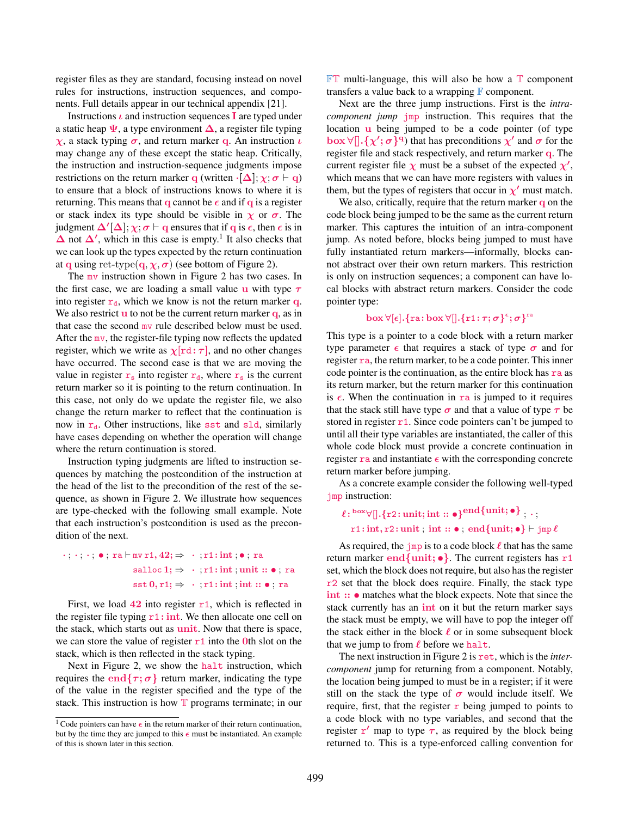register files as they are standard, focusing instead on novel rules for instructions, instruction sequences, and components. Full details appear in our technical appendix [21].

Instructions  $\iota$  and instruction sequences **I** are typed under a static heap  $\Psi$ , a type environment  $\Delta$ , a register file typing  $\chi$ , a stack typing  $\sigma$ , and return marker q. An instruction  $\iota$ may change any of these except the static heap. Critically, the instruction and instruction-sequence judgments impose restrictions on the return marker q (written · $[\Delta]$ ;  $\chi$ ;  $\sigma$   $\vdash$  q) to ensure that a block of instructions knows to where it is returning. This means that q cannot be  $\epsilon$  and if q is a register or stack index its type should be visible in  $\chi$  or  $\sigma$ . The judgment  $\Delta'[\Delta]; \chi; \sigma \vdash q$  ensures that if q is  $\epsilon$ , then  $\epsilon$  is in  $\Delta$  not  $\Delta'$ , which in this case is empty.<sup>1</sup> It also checks that we can look up the types expected by the return continuation at q using ret-type(q,  $\chi, \sigma$ ) (see bottom of Figure 2).

The mv instruction shown in Figure 2 has two cases. In the first case, we are loading a small value u with type  $\tau$ into register  $r_d$ , which we know is not the return marker q. We also restrict  $\bf{u}$  to not be the current return marker  $\bf{q}$ , as in that case the second mv rule described below must be used. After the mv, the register-file typing now reflects the updated register, which we write as  $\chi[\text{rd} : \tau]$ , and no other changes have occurred. The second case is that we are moving the value in register  $r_s$  into register  $r_d$ , where  $r_s$  is the current return marker so it is pointing to the return continuation. In this case, not only do we update the register file, we also change the return marker to reflect that the continuation is now in  $r_d$ . Other instructions, like sst and sld, similarly have cases depending on whether the operation will change where the return continuation is stored.

Instruction typing judgments are lifted to instruction sequences by matching the postcondition of the instruction at the head of the list to the precondition of the rest of the sequence, as shown in Figure 2. We illustrate how sequences are type-checked with the following small example. Note that each instruction's postcondition is used as the precondition of the next.

# $\cdot$ ;  $\cdot$ ;  $\cdot$ ;  $\bullet$ ; ra  $\vdash$  mv r1, 42;  $\Rightarrow$   $\cdot$ ; r1: int;  $\bullet$ ; ra salloc  $1; \Rightarrow$  · ; r1: int ; unit :: • ; ra  $sst 0, r1; \Rightarrow \cdot ; r1: int; int :: \bullet ; ra$

First, we load  $42$  into register  $r1$ , which is reflected in the register file typing  $r1:$  int. We then allocate one cell on the stack, which starts out as unit. Now that there is space, we can store the value of register  $r1$  into the 0th slot on the stack, which is then reflected in the stack typing.

Next in Figure 2, we show the halt instruction, which requires the end $\{\tau, \sigma\}$  return marker, indicating the type of the value in the register specified and the type of the stack. This instruction is how  $T$  programs terminate; in our

 $\mathbb{FT}$  multi-language, this will also be how a  $\mathbb{T}$  component transfers a value back to a wrapping  $\mathbb F$  component.

Next are the three jump instructions. First is the *intracomponent jump* jmp instruction. This requires that the location  $\bf{u}$  being jumped to be a code pointer (of type  $\text{box } \forall [\frac{1}{2}, \{\chi'; \sigma\}^q)$  that has preconditions  $\chi'$  and  $\sigma$  for the register file and stack respectively, and return marker q. The current register file  $\chi$  must be a subset of the expected  $\chi'$ , which means that we can have more registers with values in them, but the types of registers that occur in  $\chi'$  must match.

We also, critically, require that the return marker q on the code block being jumped to be the same as the current return marker. This captures the intuition of an intra-component jump. As noted before, blocks being jumped to must have fully instantiated return markers—informally, blocks cannot abstract over their own return markers. This restriction is only on instruction sequences; a component can have local blocks with abstract return markers. Consider the code pointer type:

# $\mathrm{box}\, \forall [\epsilon].\{\texttt{ra} \!:\! \texttt{box}\, \forall [\hspace{-0.05cm}[ .\{\texttt{r1}\!:\!\tau;\sigma\}^\epsilon;\sigma\}^{\texttt{ra}}$

This type is a pointer to a code block with a return marker type parameter  $\epsilon$  that requires a stack of type  $\sigma$  and for register ra, the return marker, to be a code pointer. This inner code pointer is the continuation, as the entire block has  $ra$  as its return marker, but the return marker for this continuation is  $\epsilon$ . When the continuation in ra is jumped to it requires that the stack still have type  $\sigma$  and that a value of type  $\tau$  be stored in register  $r1$ . Since code pointers can't be jumped to until all their type variables are instantiated, the caller of this whole code block must provide a concrete continuation in register ra and instantiate  $\epsilon$  with the corresponding concrete return marker before jumping.

As a concrete example consider the following well-typed jmp instruction:

```
\ell \colon^{\text{box}} \forall [\![}. \{\text{r2:unit}; \text{int} :: \bullet\}^{\text{end}} \{\text{unit}; \bullet\} \; ,\, \cdot\, ,r1: int, r2: unit; int :: •; end{unit; •} \vdash jmp \ell
```
As required, the  $\frac{1}{2}$  in is to a code block  $\ell$  that has the same return marker end {unit;  $\bullet$  }. The current registers has  $r1$ set, which the block does not require, but also has the register r2 set that the block does require. Finally, the stack type int ::  $\bullet$  matches what the block expects. Note that since the stack currently has an int on it but the return marker says the stack must be empty, we will have to pop the integer off the stack either in the block  $\ell$  or in some subsequent block that we jump to from  $\ell$  before we halt.

The next instruction in Figure 2 is ret, which is the *intercomponent* jump for returning from a component. Notably, the location being jumped to must be in a register; if it were still on the stack the type of  $\sigma$  would include itself. We require, first, that the register  $\bf{r}$  being jumped to points to a code block with no type variables, and second that the register  $r'$  map to type  $\tau$ , as required by the block being returned to. This is a type-enforced calling convention for

<sup>&</sup>lt;sup>1</sup> Code pointers can have  $\epsilon$  in the return marker of their return continuation, but by the time they are jumped to this  $\epsilon$  must be instantiated. An example of this is shown later in this section.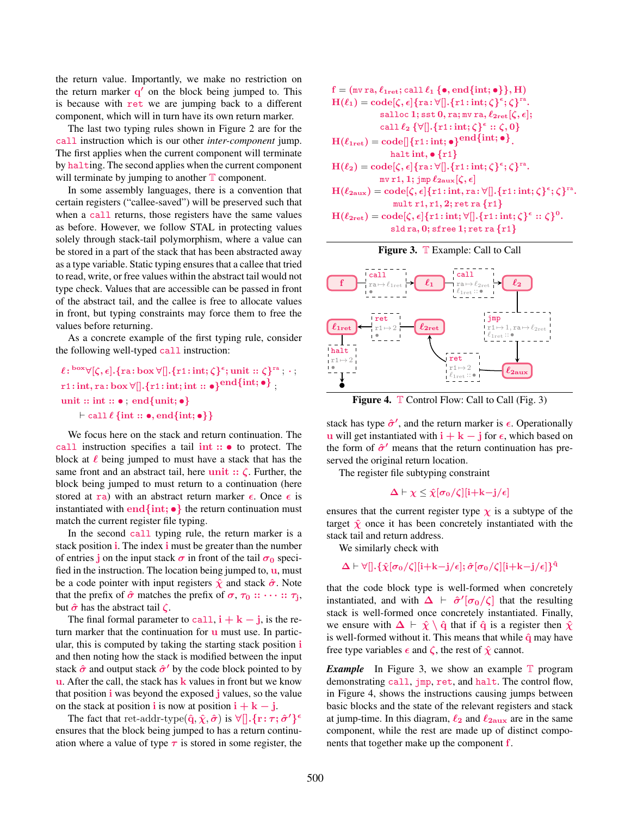the return value. Importantly, we make no restriction on the return marker q' on the block being jumped to. This is because with ret we are jumping back to a different component, which will in turn have its own return marker.

The last two typing rules shown in Figure 2 are for the call instruction which is our other *inter-component* jump. The first applies when the current component will terminate by halting. The second applies when the current component will terminate by jumping to another  $T$  component.

In some assembly languages, there is a convention that certain registers ("callee-saved") will be preserved such that when a call returns, those registers have the same values as before. However, we follow STAL in protecting values solely through stack-tail polymorphism, where a value can be stored in a part of the stack that has been abstracted away as a type variable. Static typing ensures that a callee that tried to read, write, or free values within the abstract tail would not type check. Values that are accessible can be passed in front of the abstract tail, and the callee is free to allocate values in front, but typing constraints may force them to free the values before returning.

As a concrete example of the first typing rule, consider the following well-typed call instruction:

$$
\ell: \text{box } \forall [\zeta, \epsilon]. \{\text{ra}: \text{box } \forall [[. \{r1: \text{int}; \zeta\}^{\epsilon}; \text{unit} :: \zeta\}^{\text{ra}}; \cdot ;\right.
$$
  
r1: int, ra: box  $\forall [[. \{r1: \text{int}; \text{int} :: \bullet\}^{\text{end}}] \{\text{int}; \bullet\};$   
unit :: int ::  $\bullet$ , end{unit;  $\bullet$ }  
 $\vdash \text{call } \ell \{\text{int} :: \bullet, \text{end}\{\text{int}; \bullet\}$ 

We focus here on the stack and return continuation. The call instruction specifies a tail int :: • to protect. The block at  $\ell$  being jumped to must have a stack that has the same front and an abstract tail, here unit  $:: \zeta$ . Further, the block being jumped to must return to a continuation (here stored at ra) with an abstract return marker  $\epsilon$ . Once  $\epsilon$  is instantiated with end {int;  $\bullet$ } the return continuation must match the current register file typing.

In the second call typing rule, the return marker is a stack position **i**. The index **i** must be greater than the number of entries j on the input stack  $\sigma$  in front of the tail  $\sigma_0$  specified in the instruction. The location being jumped to,  $\mathbf{u}$ , must be a code pointer with input registers  $\hat{\chi}$  and stack  $\hat{\sigma}$ . Note that the prefix of  $\hat{\sigma}$  matches the prefix of  $\sigma, \tau_0 :: \cdots :: \tau_j$ , but  $\hat{\sigma}$  has the abstract tail  $\zeta$ .

The final formal parameter to call,  $i + k - j$ , is the return marker that the continuation for  $\bf{u}$  must use. In particular, this is computed by taking the starting stack position i and then noting how the stack is modified between the input stack  $\hat{\sigma}$  and output stack  $\hat{\sigma}'$  by the code block pointed to by  $\bf{u}$ . After the call, the stack has **k** values in front but we know that position i was beyond the exposed j values, so the value on the stack at position **i** is now at position  $\mathbf{i} + \mathbf{k} - \mathbf{j}$ .

The fact that ret-addr-type $(\hat{\mathbf{q}}, \hat{\boldsymbol{\chi}}, \hat{\boldsymbol{\sigma}})$  is  $\forall[]$ .  $\{\mathbf{r} : \boldsymbol{\tau}; \hat{\boldsymbol{\sigma}}'\}^{\epsilon}$ ensures that the block being jumped to has a return continuation where a value of type  $\tau$  is stored in some register, the

$$
f = (\text{mv ra}, \ell_{1ret}; \text{call } \ell_1 \{ \bullet, \text{end}\{ \text{int}; \bullet \} \}, H)
$$
\n
$$
H(\ell_1) = \text{code}[\zeta, \epsilon] \{ra: \forall [\cdot, \{r1: \text{int}; \zeta\}^{\epsilon}; \zeta\}^{ra}.
$$
\n
$$
all \text{ to } 1; \text{ sst } 0, ra; \text{mv ra}, \ell_{2ret}[\zeta, \epsilon];
$$
\n
$$
call \ell_2 \{ \forall [\cdot, \{r1: \text{int}; \zeta\}^{\epsilon}: \zeta, 0 \}
$$
\n
$$
H(\ell_{1ret}) = \text{code}[\{r1: \text{int}; \bullet\}^{\text{end}} \{ \text{int}; \bullet \}.
$$
\n
$$
halt \text{int}, \bullet \{r1\}
$$
\n
$$
H(\ell_2) = \text{code}[\zeta, \epsilon] \{ra: \forall [\cdot, \{r1: \text{int}; \zeta\}^{\epsilon}; \zeta\}^{ra}.
$$
\n
$$
mv r1, 1; \text{jmp } \ell_{2aux}[\zeta, \epsilon]
$$
\n
$$
H(\ell_{2aux}) = \text{code}[\zeta, \epsilon] \{r1: \text{int}; ra: \forall [\cdot, \{r1: \text{int}; \zeta\}^{\epsilon}; \zeta\}^{ra}.
$$
\n
$$
mult r1, r1, 2; ret ra \{r1\}
$$
\n
$$
H(\ell_{2ret}) = \text{code}[\zeta, \epsilon] \{r1: \text{int}; \forall [\cdot, \{r1: \text{int}; \zeta\}^{\epsilon}: \zeta\}^{0}.
$$
\n
$$
sldr a, 0; \text{sfree 1}; ret ra \{r1\}
$$





Figure 4. T Control Flow: Call to Call (Fig. 3)

stack has type  $\hat{\sigma}'$ , and the return marker is  $\epsilon$ . Operationally u will get instantiated with  $\mathbf{i} + \mathbf{k} - \mathbf{j}$  for  $\epsilon$ , which based on the form of  $\hat{\sigma}'$  means that the return continuation has preserved the original return location.

The register file subtyping constraint

 $\Delta \vdash \chi \leq \hat{\chi}[\sigma_0/\zeta][i+k-j/\epsilon]$ 

ensures that the current register type  $\chi$  is a subtype of the target  $\hat{\chi}$  once it has been concretely instantiated with the stack tail and return address.

We similarly check with

$$
\Delta \vdash \forall [] . \{\hat{\chi}[\sigma_0/\zeta][i+k-j/\epsilon]; \hat{\sigma}[\sigma_0/\zeta][i+k-j/\epsilon]\}^{\hat{q}}
$$

that the code block type is well-formed when concretely instantiated, and with  $\Delta \vdash \hat{\sigma}'[\sigma_0/\zeta]$  that the resulting stack is well-formed once concretely instantiated. Finally, we ensure with  $\Delta \vdash \hat{\chi} \setminus \hat{q}$  that if  $\hat{q}$  is a register then  $\hat{\chi}$ is well-formed without it. This means that while  $\hat{q}$  may have free type variables  $\epsilon$  and  $\zeta$ , the rest of  $\hat{\chi}$  cannot.

*Example* In Figure 3, we show an example **T** program demonstrating call, jmp, ret, and halt. The control flow, in Figure 4, shows the instructions causing jumps between basic blocks and the state of the relevant registers and stack at jump-time. In this diagram,  $\ell_2$  and  $\ell_{2aux}$  are in the same component, while the rest are made up of distinct components that together make up the component f.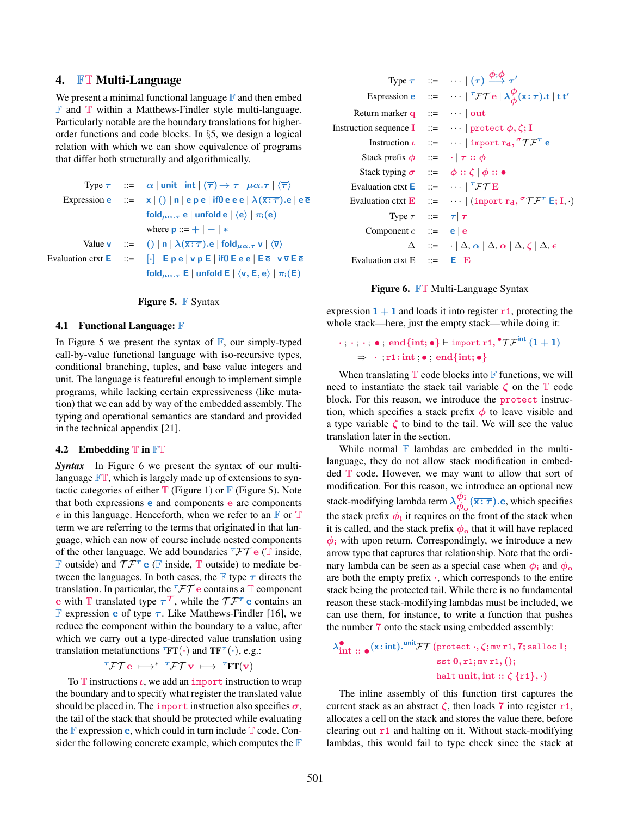# 4. FT Multi-Language

We present a minimal functional language  $\mathbb F$  and then embed  $\mathbb F$  and  $\mathbb T$  within a Matthews-Findler style multi-language. Particularly notable are the boundary translations for higherorder functions and code blocks. In §5, we design a logical relation with which we can show equivalence of programs that differ both structurally and algorithmically.

|  | Type $\tau$ ::= $\alpha$   unit   int   $(\overline{\tau}) \rightarrow \tau$   $\mu \alpha . \tau$   $\langle \overline{\tau} \rangle$                 |
|--|--------------------------------------------------------------------------------------------------------------------------------------------------------|
|  | Expression e $\mathbf{z} = \mathbf{x}  $ ()   n   e p e   if $\mathbf{0}$ e e e   $\lambda(\overline{\mathbf{x}:\tau})$ e   e $\overline{e}$           |
|  | fold $\mu_{\alpha,\tau}$ e   unfold e   $\langle \overline{e} \rangle$   $\pi_i(e)$                                                                    |
|  | where $\mathbf{p} ::= +   -   *$                                                                                                                       |
|  | Value <b>v</b> ::= ()   <b>n</b>   $\lambda(\overline{x:\tau})$ . <b>e</b>   <b>fold</b> $\mu_{\alpha,\tau}$ <b>v</b>   $\langle \overline{v} \rangle$ |
|  | Evaluation ctxt $E$ $:=$ $\lceil \cdot \rceil  E$ $p e$   $v$ $p E$   if 0 E $e e$   E $\bar{e}$   $v \bar{v}$ E $\bar{e}$                             |
|  | fold $\mu_{\alpha,\tau}$ E   unfold E   $\langle \overline{v}, \overline{E}, \overline{e} \rangle$   $\pi_i(E)$                                        |

| <b>Figure 5.</b> $\mathbb{F}$ Syntax |  |  |
|--------------------------------------|--|--|
|                                      |  |  |

#### 4.1 Functional Language:  $\mathbb F$

In Figure 5 we present the syntax of  $\mathbb{F}$ , our simply-typed call-by-value functional language with iso-recursive types, conditional branching, tuples, and base value integers and unit. The language is featureful enough to implement simple programs, while lacking certain expressiveness (like mutation) that we can add by way of the embedded assembly. The typing and operational semantics are standard and provided in the technical appendix [21].

#### 4.2 Embedding  $T$  in  $\mathbb{FT}$

*Syntax* In Figure 6 we present the syntax of our multilanguage  $\mathbb{FT}$ , which is largely made up of extensions to syntactic categories of either  $\mathbb T$  (Figure 1) or  $\mathbb F$  (Figure 5). Note that both expressions e and components e are components e in this language. Henceforth, when we refer to an  $\mathbb F$  or  $\mathbb T$ term we are referring to the terms that originated in that language, which can now of course include nested components of the other language. We add boundaries  $\tau \mathcal{FT}$  e (T inside, **F** outside) and  $T F^{\tau}$  **e** (**F** inside, **T** outside) to mediate between the languages. In both cases, the  $\mathbb F$  type  $\tau$  directs the translation. In particular, the  $\tau \mathcal{FT}$  e contains a  $\mathbb T$  component e with T translated type  $\tau^{\tau}$ , while the  $\tau^{\tau}$  e contains an **F** expression **e** of type  $\tau$ . Like Matthews-Findler [16], we reduce the component within the boundary to a value, after which we carry out a type-directed value translation using translation metafunctions  $\overline{r}FT(\cdot)$  and  $TF^{\tau}(\cdot), e.g..$ 

$$
{}^\tau \mathcal{FT} \, e \; \longmapsto^{*} {}^\tau \mathcal{FT} \, v \; \longmapsto \; {}^\tau \! FT(v)
$$

To  $\mathbb T$  instructions  $\iota$ , we add an import instruction to wrap the boundary and to specify what register the translated value should be placed in. The import instruction also specifies  $\sigma$ , the tail of the stack that should be protected while evaluating the  $\mathbb F$  expression **e**, which could in turn include  $\mathbb T$  code. Consider the following concrete example, which computes the  $\mathbb F$ 

|                                                                                       | Type $\tau$ ::= $\cdots$ $(\overline{\tau}) \stackrel{\phi, \phi}{\longrightarrow} \tau'$                                        |
|---------------------------------------------------------------------------------------|----------------------------------------------------------------------------------------------------------------------------------|
|                                                                                       | Expression e ::= $\cdots   {}^{\tau} {\cal F} {\cal T} e   \lambda^{\phi}_{\phi}(\overline{x:\tau}).t   t \overline{t'}$         |
| Return marker q $\therefore$ $\cdots$ out                                             |                                                                                                                                  |
| Instruction sequence $I = \cdots$ protect $\phi, \zeta$ ; I                           |                                                                                                                                  |
|                                                                                       | Instruction $\iota$ ::= $\cdots$   import $r_d$ , ${}^\sigma \mathcal{T} \mathcal{F}^\tau$ e                                     |
| Stack prefix $\phi$ ::= $\cdot   \tau :: \phi$                                        |                                                                                                                                  |
| Stack typing $\sigma$ ::= $\phi$ :: $\zeta   \phi$ :: $\bullet$                       |                                                                                                                                  |
| Evaluation ctxt <b>E</b> $::=$ $\cdots$ $\ulcorner \ulcorner \mathcal{FT} \mathbf{E}$ |                                                                                                                                  |
|                                                                                       | Evaluation ctxt <b>E</b> $ ::= \cdots   ( \text{import } r_d, {}^{\sigma} \mathcal{T} \mathcal{F}^{\tau} \mathsf{E}; I, \cdot )$ |
| Type $\tau$ ::= $\tau  \tau $                                                         |                                                                                                                                  |
| Component $e$ ::= $\mathbf{e} \mid \mathbf{e}$                                        |                                                                                                                                  |
|                                                                                       | $\Delta$ ::= $ \Delta, \alpha  \Delta, \alpha  \Delta, \zeta  \Delta, \epsilon$                                                  |
| Evaluation ctxt $E$ ::=                                                               | $E \mid E$                                                                                                                       |
|                                                                                       |                                                                                                                                  |



expression  $1 + 1$  and loads it into register  $r1$ , protecting the whole stack—here, just the empty stack—while doing it:

# $\cdot$  ;  $\cdot$  ;  $\cdot$  ;  $\bullet$  ; end{int;  $\bullet$ }  $\vdash$  import r1,  ${}^{\bullet} \mathcal{T} \mathcal{F}^{\text{int}}$   $(1+1)$  $\Rightarrow$  · ; r1: int : • ; end{int; •}

When translating  $T$  code blocks into  $F$  functions, we will need to instantiate the stack tail variable  $\zeta$  on the  $\mathbb T$  code block. For this reason, we introduce the protect instruction, which specifies a stack prefix  $\phi$  to leave visible and a type variable  $\zeta$  to bind to the tail. We will see the value translation later in the section.

While normal  $\mathbb F$  lambdas are embedded in the multilanguage, they do not allow stack modification in embedded  $T$  code. However, we may want to allow that sort of modification. For this reason, we introduce an optional new stack-modifying lambda term  $\lambda_{\phi}^{\phi_i}$  $\frac{\varphi_i}{\varphi_o}(\overline{x:\tau})$ .e, which specifies the stack prefix  $\phi_i$  it requires on the front of the stack when it is called, and the stack prefix  $\phi_0$  that it will have replaced  $\phi_i$  with upon return. Correspondingly, we introduce a new arrow type that captures that relationship. Note that the ordinary lambda can be seen as a special case when  $\phi_i$  and  $\phi_o$ are both the empty prefix ·, which corresponds to the entire stack being the protected tail. While there is no fundamental reason these stack-modifying lambdas must be included, we can use them, for instance, to write a function that pushes the number 7 onto the stack using embedded assembly:

$$
\lambda_{int::\bullet}^{\bullet}(\overline{x:int}) \cdot^{unit} \mathcal{FT}(\text{protect}\cdot,\zeta;\text{mvrt},7;\text{salloc 1};\quad \ \ \text{sst 0,r1;mvrt},();\quad \ \ \, \text{halt unit, int}::\zeta\{r1\},\cdot)
$$

The inline assembly of this function first captures the current stack as an abstract  $\zeta$ , then loads 7 into register r1, allocates a cell on the stack and stores the value there, before clearing out  $r1$  and halting on it. Without stack-modifying lambdas, this would fail to type check since the stack at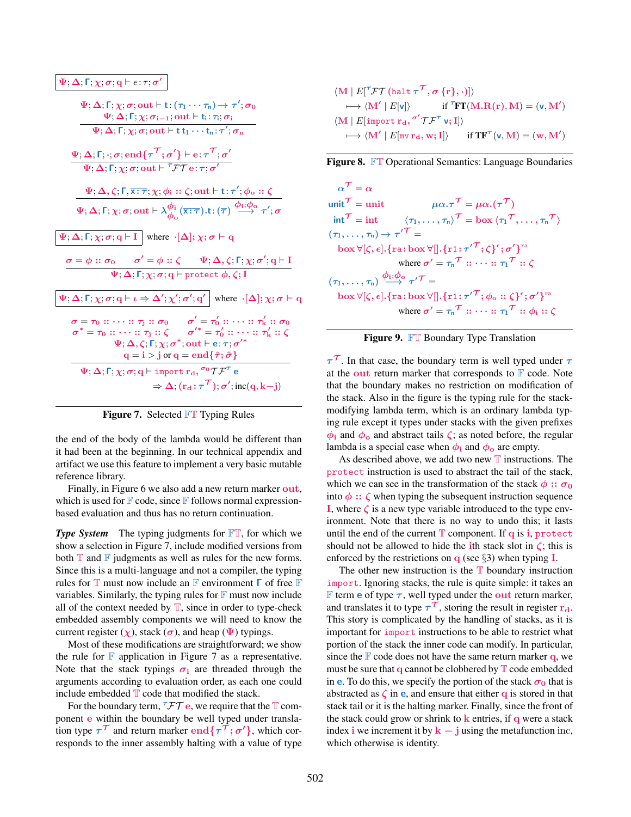$$
\Psi; \Delta; \Gamma; \chi; \sigma; \text{out} \vdash t; (\tau_1 \cdots \tau_n) \rightarrow \tau'; \sigma_0
$$
\n
$$
\Psi; \Delta; \Gamma; \chi; \sigma_{i-1}; \text{out} \vdash t_i; \tau_i; \sigma_i
$$
\n
$$
\Psi; \Delta; \Gamma; \chi; \sigma; \text{out} \vdash t t_1 \cdots t_n; \tau'; \sigma_n
$$
\n
$$
\Psi; \Delta; \Gamma; \chi; \sigma; \text{out} \vdash t t_1 \cdots t_n; \tau'; \sigma_n
$$
\n
$$
\Psi; \Delta; \Gamma; \chi; \sigma; \text{out} \vdash \tau \mathcal{F} \mathcal{T} e; \tau, \sigma'
$$
\n
$$
\Psi; \Delta; \zeta; \Gamma; \chi; \sigma; \text{out} \vdash \tau \mathcal{F} \mathcal{T} e; \tau, \sigma'
$$
\n
$$
\Psi; \Delta; \zeta; \Gamma; \chi; \sigma; \text{out} \vdash \lambda \phi_i; \text{out} \vdash t; \tau'; \phi_o : \zeta
$$
\n
$$
\Psi; \Delta; \Gamma; \chi; \sigma; \text{out} \vdash \lambda \phi_o (\overline{x} : \overline{\tau}) . t : (\overline{\tau}) \xrightarrow{\phi_i; \phi_o} \tau'; \sigma
$$
\n
$$
\Psi; \Delta; \Gamma; \chi; \sigma; \mathbf{q} \vdash I \text{ where } \cdot [\Delta]; \chi; \sigma \vdash \mathbf{q}
$$
\n
$$
\sigma = \phi : : \sigma_0 \qquad \sigma' = \phi : : \zeta \qquad \Psi; \Delta, \zeta; \Gamma; \chi; \sigma'; \mathbf{q} \vdash I
$$
\n
$$
\Psi; \Delta; \Gamma; \chi; \sigma; \mathbf{q} \vdash \mathbf{p} \text{otect } \phi, \zeta; I
$$
\n
$$
\Phi; \Delta; \Gamma; \chi; \sigma; \mathbf{q} \vdash \iota \Rightarrow \Delta'; \chi'; \sigma'; \mathbf{q}' \text{ where } \cdot [\Delta]; \chi; \sigma \vdash \mathbf{q}
$$
\n
$$
\sigma = \tau_0 : : \cdots : : \tau_1 : : \zeta \qquad \sigma' = \tau'_0 : : \cdots : : \tau'_k : : \sigma_0
$$
\n
$$
\sigma^* = \tau_
$$

Figure 7. Selected FT Typing Rules

the end of the body of the lambda would be different than it had been at the beginning. In our technical appendix and artifact we use this feature to implement a very basic mutable reference library.

Finally, in Figure 6 we also add a new return marker out, which is used for  $\mathbb F$  code, since  $\mathbb F$  follows normal expressionbased evaluation and thus has no return continuation.

**Type System** The typing judgments for  $\mathbb{FT}$ , for which we show a selection in Figure 7, include modified versions from both  $\mathbb T$  and  $\mathbb F$  judgments as well as rules for the new forms. Since this is a multi-language and not a compiler, the typing rules for  $\mathbb T$  must now include an  $\mathbb F$  environment  $\Gamma$  of free  $\mathbb F$ variables. Similarly, the typing rules for  $\mathbb F$  must now include all of the context needed by  $T$ , since in order to type-check embedded assembly components we will need to know the current register  $(\chi)$ , stack  $(\sigma)$ , and heap  $(\Psi)$  typings.

Most of these modifications are straightforward; we show the rule for  $\mathbb F$  application in Figure 7 as a representative. Note that the stack typings  $\sigma_i$  are threaded through the arguments according to evaluation order, as each one could include embedded  $T$  code that modified the stack.

For the boundary term,  $\tau \mathcal{FT}$  e, we require that the  $\mathbb T$  component e within the boundary be well typed under translation type  $\tau^{\mathcal{T}}$  and return marker  $\text{end}\{\tau^{\mathcal{T}};\sigma'\}$ , which corresponds to the inner assembly halting with a value of type

$$
\langle \mathbf{M} | E[^{\tau} \mathcal{F} \mathcal{T} (\text{halt } \tau^{\tau}, \sigma \{r\}, \cdot)] \rangle
$$
  
\n
$$
\longmapsto \langle \mathbf{M}' | E[\mathbf{v}] \rangle \quad \text{if } {}^{\tau} \mathbf{F} \mathbf{T} (\mathbf{M}. \mathbf{R}(\mathbf{r}), \mathbf{M}) = (\mathbf{v}, \mathbf{M}') \langle \mathbf{M} | E[\text{import } \mathbf{r_d}, \sigma' \mathcal{T} \mathcal{F}^{\tau} \mathbf{v}; \mathbf{I}] \rangle
$$
  
\n
$$
\longmapsto \langle \mathbf{M}' | E[\mathbf{m} \mathbf{v} \mathbf{r_d}, \mathbf{w}; \mathbf{I}] \rangle \quad \text{if } \mathbf{TF}^{\tau} (\mathbf{v}, \mathbf{M}) = (\mathbf{w}, \mathbf{M}')
$$

Figure 8. FT Operational Semantics: Language Boundaries

 $\alpha^{\mathcal{T}}=\alpha$ unit  $\mathcal{T} = \text{unit}$   $\mu \alpha \cdot \tau \mathcal{T} = \mu \alpha \cdot (\tau \mathcal{T})$  $\mathsf{int} \mathcal{T} = \mathsf{int} \qquad \langle \tau_1, \ldots, \tau_n \rangle \mathcal{T} = \mathsf{box} \langle \tau_1 \mathcal{T}, \ldots, \tau_n \mathcal{T} \rangle$  $(\tau_1,\ldots,\tau_{\mathsf{n}})$   $\rightarrow$   $\tau'^{\mathcal{T}}$   $=$  $\mathrm{box}\, \forall [\zeta, \epsilon].\{\text{ra: box}\, \forall [\hspace{-0.05cm}[ .\{ \text{r1:} \tau'^{\mathcal{T}};\zeta \}^\epsilon; \sigma' \}^{\text{ra}}$ where  $\sigma' = \tau_n{}^{\mathcal{T}} :: \cdots :: \tau_1{}^{\mathcal{T}} :: \zeta$  $(\tau_1,\ldots,\tau_{\mathsf{n}}) \stackrel{\boldsymbol{\phi}_\mathbf{i};\boldsymbol{\phi}_\mathbf{o}}{\longrightarrow} \tau'^{\boldsymbol{\mathcal{T}}} =$  $\mathrm{box}\, \forall [\zeta , \epsilon].\{\text{ra} \colon \! \text{box}\, \forall [\hspace{-0.05cm}[ .\{ \text{r1} \colon \! \tau'^\mathcal{T} ; \phi_\text{o} \colon \! \zeta \}^\epsilon ; \sigma' \}^\text{ra}$ where  $\sigma' = \tau_n^\mathcal{T} :: \cdots :: \tau_1^\mathcal{T} :: \phi_i :: \zeta$ 

### Figure 9. FT Boundary Type Translation

 $\tau^{\tau}$ . In that case, the boundary term is well typed under  $\tau$ at the out return marker that corresponds to  $\mathbb F$  code. Note that the boundary makes no restriction on modification of the stack. Also in the figure is the typing rule for the stackmodifying lambda term, which is an ordinary lambda typing rule except it types under stacks with the given prefixes  $\phi_i$  and  $\phi_o$  and abstract tails  $\zeta$ ; as noted before, the regular lambda is a special case when  $\phi_i$  and  $\phi_o$  are empty.

As described above, we add two new  $T$  instructions. The protect instruction is used to abstract the tail of the stack, which we can see in the transformation of the stack  $\phi$  ::  $\sigma_0$ into  $\phi$  ::  $\zeta$  when typing the subsequent instruction sequence I, where  $\zeta$  is a new type variable introduced to the type environment. Note that there is no way to undo this; it lasts until the end of the current  $\mathbb T$  component. If  $q$  is i, protect should not be allowed to hide the ith stack slot in  $\zeta$ ; this is enforced by the restrictions on  $q$  (see §3) when typing **I**.

The other new instruction is the  $T$  boundary instruction import. Ignoring stacks, the rule is quite simple: it takes an **F** term **e** of type  $\tau$ , well typed under the **out** return marker, and translates it to type  $\tau^{\mathcal{T}}$ , storing the result in register  $\mathbf{r_{d}}$ . This story is complicated by the handling of stacks, as it is important for import instructions to be able to restrict what portion of the stack the inner code can modify. In particular, since the  $\mathbb F$  code does not have the same return marker q, we must be sure that  $q$  cannot be clobbered by  $T$  code embedded in **e**. To do this, we specify the portion of the stack  $\sigma_0$  that is abstracted as  $\zeta$  in **e**, and ensure that either **q** is stored in that stack tail or it is the halting marker. Finally, since the front of the stack could grow or shrink to  $k$  entries, if  $q$  were a stack index i we increment it by  $k - j$  using the metafunction inc, which otherwise is identity.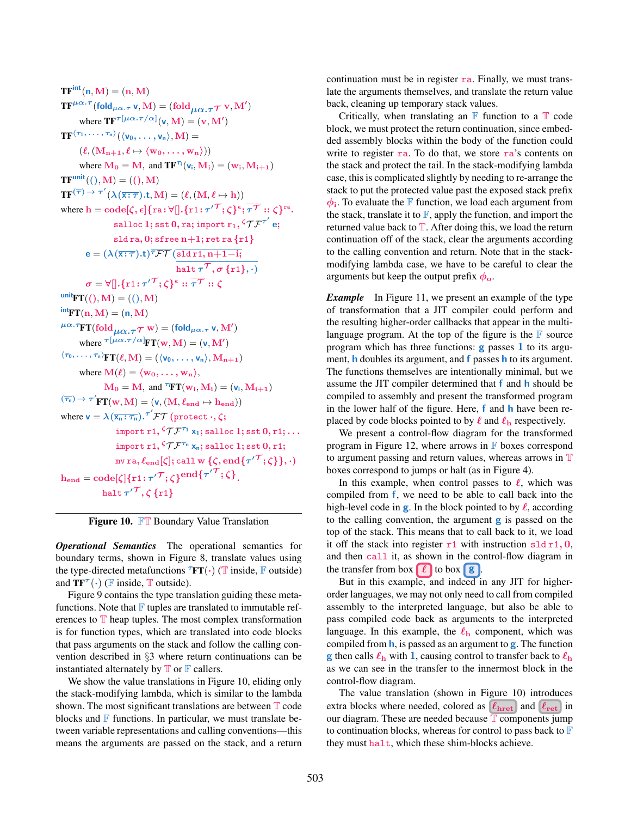$TF<sup>int</sup>(n, M) = (n, M)$  $\mathbf{T}\mathbf{F}^{\mu\alpha.\boldsymbol{\tau}}$ (fold $_{\mu\alpha.\boldsymbol{\tau}}$  v,  $\mathbf{M})$  = (fold $_{\mu\alpha.\boldsymbol{\tau}}$   $\boldsymbol{\tau}$  v,  $\mathbf{M}')$ where  $\mathrm{T}\mathbf{F}^{\boldsymbol{\tau}[\mu\alpha.\boldsymbol{\tau}/\alpha]}(\mathsf{v},\mathbf{M}) = (\mathbf{v},\mathbf{M'})$  $\mathrm{TF}^{\langle\tau_1,\ldots,\,\tau_{\mathsf{n}}\rangle}(\langle\mathsf{v}_0,\ldots,\mathsf{v}_{\mathsf{n}}\rangle,\mathrm{M})=$  $(\ell, (M_{n+1}, \ell \mapsto \langle w_0, \ldots, w_n \rangle))$ where  $\mathbf{M}_0 = \mathbf{M}$ , and  $\mathbf{T} \mathbf{F}^{\tau_i}(\mathbf{v}_i, \mathbf{M}_i) = (\mathbf{w}_i, \mathbf{M}_{i+1})$  $TF<sup>unit</sup>((), M) = ((), M)$  $\mathbf{TF}^{(\overline{\tau}) \rightarrow \tau'}(\lambda(\overline{\mathbf{x}:\tau}).\mathbf{t},\mathbf{M}) = (\ell,(\mathbf{M},\ell \mapsto \mathbf{h}))$ where  $\mathrm{h}=\mathrm{code}[\zeta,\epsilon]\{\mathrm{ra}\!:\!\forall\,$   $]\!$  .  $\{\tau1\!:\!\tau'^{\mathcal{T}};\zeta\}^{\epsilon};\overline{\tau^{\mathcal{T}}}\!:\!:\zeta\}^{\mathrm{ra}}.$ salloc  $1;$  sst  $0,$  ra; import  $\text{r}_1, {}^{\zeta}\mathcal{T}\mathcal{F}^{\tau'}$   $\text{e};$ sld ra,  $0$ ; sfree  $n+1$ ; ret ra  $\{r1\}$  $\mathbf{e} = (\lambda(\overline{\mathtt{x}:\tau}).\mathbf{t})^{\overline{\tau}\mathcal{FT}}(\overline{\mathtt{sld}\,\mathtt{r1},\mathtt{n}{+}1{-}\mathbf{i};$ halt  $\tau^{\mathcal{T}}, \sigma\,\{\textup{r1}\}, \cdot)$  $\sigma = \forall [].\{\texttt{r1: \tau}^\prime{}^\mathcal{T}; \zeta\}^\epsilon :: \overline{\tau^\mathcal{T}} :: \zeta$  $\text{unit}_{\text{FT}}((), \text{M}) = ((), \text{M})$  $int_{\mathbf{F}} \mathbf{T}(\mathbf{n},\mathbf{M}) = (\mathbf{n},\mathbf{M})$  ${}^{\mu\alpha.\tau}\!\mathrm{FT}(\mathrm{fold}_{\mu\alpha.\tau}\tau\mathrm{~w})=(\mathrm{fold}_{\mu\alpha.\tau}\,\mathsf{v},\mathrm{M}')$ where  $\tau[\mu\alpha.\tau/\alpha]$ **FT**(**w**, **M**) = (**v**, **M'**)  $\langle \tau_0, \ldots, \tau_n \rangle_{\textbf{FT}}(\ell,M) = (\langle v_0, \ldots, v_n \rangle, M_{n+1})$ where  $\mathbf{M}(\ell) = \langle \mathbf{w}_0, \dots, \mathbf{w}_n \rangle$ ,  $M_0 = M$ , and  $^{\tau_i}FT(w_i, M_i) = (v_i, M_{i+1})$  $(\overline{\tau_{\scriptscriptstyle{\mathrm{m}}}}) \rightarrow \tau' \mathbf{FT}(\mathbf{w},\mathbf{M}) = (\mathbf{v},(\mathbf{M},\boldsymbol{\ell}_{\mathbf{end}} \mapsto \mathbf{h}_{\mathbf{end}}))$ where  $\mathbf{v} = \lambda(\overline{\mathsf{x}_\text{n}:\tau_\text{n}}).^{\tau'}\mathcal{FT}$  (protect  $\cdot,\zeta;$ import r1,  ${}^{\zeta}\mathcal{T}\mathcal{F}^{\tau_1}$  x<sub>1</sub>; salloc 1; sst  $0,$  r1;  $\ldots$ import r1,  ${}^{\zeta}\mathcal{T}\mathcal{F}^{\tau_n}$   $\mathsf{x_n};$  salloc 1; sst  $0,$  r1; mv ra,  $\ell_{\mathrm{end}}[\zeta];$  call  $\mathrm{w} \, \{\zeta, \mathrm{end} \{\tau'^{\mathcal{T}}; \zeta\} \},\cdot)$  $\mathrm{h}_{\mathrm{end}} = \mathrm{code}[\zeta]\{ \mathrm{r1: \tau'}^\mathcal{T}; \zeta\}^{\mathrm{end}\{\tau'}^\mathcal{T}; \zeta\} .$ halt  $\tau'^{\mathcal{T}}, \zeta\,\{\mathrm{r1}\}$ 

Figure 10. FT Boundary Value Translation

*Operational Semantics* The operational semantics for boundary terms, shown in Figure 8, translate values using the type-directed metafunctions  $^TFT(\cdot)$  (T inside, F outside) and  $TF^{\tau}(\cdot)$  (F inside, T outside).

Figure 9 contains the type translation guiding these metafunctions. Note that  $\mathbb F$  tuples are translated to immutable references to  $T$  heap tuples. The most complex transformation is for function types, which are translated into code blocks that pass arguments on the stack and follow the calling convention described in §3 where return continuations can be instantiated alternately by  $\mathbb T$  or  $\mathbb F$  callers.

We show the value translations in Figure 10, eliding only the stack-modifying lambda, which is similar to the lambda shown. The most significant translations are between  $T$  code blocks and  $\mathbb F$  functions. In particular, we must translate between variable representations and calling conventions—this means the arguments are passed on the stack, and a return continuation must be in register ra. Finally, we must translate the arguments themselves, and translate the return value back, cleaning up temporary stack values.

Critically, when translating an  $\mathbb F$  function to a  $\mathbb T$  code block, we must protect the return continuation, since embedded assembly blocks within the body of the function could write to register  $ra$ . To do that, we store  $ra$ 's contents on the stack and protect the tail. In the stack-modifying lambda case, this is complicated slightly by needing to re-arrange the stack to put the protected value past the exposed stack prefix  $\phi_i$ . To evaluate the F function, we load each argument from the stack, translate it to  $\mathbb{F}$ , apply the function, and import the returned value back to  $\mathbb T$ . After doing this, we load the return continuation off of the stack, clear the arguments according to the calling convention and return. Note that in the stackmodifying lambda case, we have to be careful to clear the arguments but keep the output prefix  $\phi_{o}$ .

*Example* In Figure 11, we present an example of the type of transformation that a JIT compiler could perform and the resulting higher-order callbacks that appear in the multilanguage program. At the top of the figure is the  $\mathbb F$  source program which has three functions:  $g$  passes 1 to its argument, **h** doubles its argument, and **f** passes **h** to its argument. The functions themselves are intentionally minimal, but we assume the JIT compiler determined that f and h should be compiled to assembly and present the transformed program in the lower half of the figure. Here,  $f$  and  $h$  have been replaced by code blocks pointed to by  $\ell$  and  $\ell_h$  respectively.

We present a control-flow diagram for the transformed program in Figure 12, where arrows in  $\mathbb F$  boxes correspond to argument passing and return values, whereas arrows in T boxes correspond to jumps or halt (as in Figure 4).

In this example, when control passes to  $\ell$ , which was compiled from f, we need to be able to call back into the high-level code in **g**. In the block pointed to by  $\ell$ , according to the calling convention, the argument g is passed on the top of the stack. This means that to call back to it, we load it off the stack into register  $r1$  with instruction sld r1, 0, and then call it, as shown in the control-flow diagram in the transfer from box  $\ell$  to box  $\mathbf{g}$ .

But in this example, and indeed in any JIT for higherorder languages, we may not only need to call from compiled assembly to the interpreted language, but also be able to pass compiled code back as arguments to the interpreted language. In this example, the  $\ell_{h}$  component, which was compiled from h, is passed as an argument to g. The function **g** then calls  $\ell_{\rm h}$  with 1, causing control to transfer back to  $\ell_{\rm h}$ as we can see in the transfer to the innermost block in the control-flow diagram.

The value translation (shown in Figure 10) introduces extra blocks where needed, colored as  $\ell_{\text{hret}}$  and  $\ell_{\text{ret}}$  in our diagram. These are needed because  $\overline{T}$  components jump to continuation blocks, whereas for control to pass back to  $\mathbb F$ they must halt, which these shim-blocks achieve.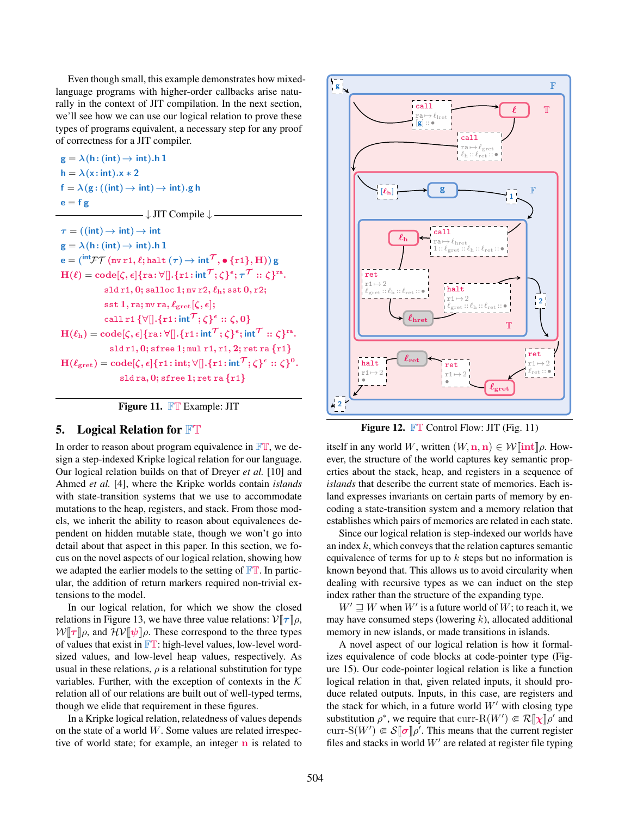Even though small, this example demonstrates how mixedlanguage programs with higher-order callbacks arise naturally in the context of JIT compilation. In the next section, we'll see how we can use our logical relation to prove these types of programs equivalent, a necessary step for any proof of correctness for a JIT compiler.

 $g = \lambda(h: (int) \rightarrow int)$ .h 1  $h = \lambda(x : int).x * 2$  $f = \lambda(g: ((int) \rightarrow int) \rightarrow int).g h$  $e = f g$  $\longrightarrow \downarrow$  JIT Compile  $\downarrow$  –  $\tau$  = ((int)  $\rightarrow$  int)  $\rightarrow$  int  $g = \lambda(h: (int) \rightarrow int)$ .h 1  $\mathsf{e} = (^\mathsf{int}\!\mathcal{F}\mathcal{T}\,(\allowbreak\mathsf{mv}\,\allowbreak\mathsf{r}\,\allowbreak 1,\allowbreak\ell;\allowbreak\mathsf{halt}\,(\tau)\!\rightarrow\allowbreak\mathsf{int}^\mathcal{T},\bullet\:\allowbreak\{\allowbreak\mathsf{r}\,\allowbreak 1\},\allowbreak\mathrm{H}))\,\mathsf{g}$  $\text{H}(\ell)=\text{code}[\zeta,\epsilon]\{\text{ra}\!:\!\forall[].\{\text{r1}\!:\!\text{int}^{\mathcal{T}}\!;\zeta\}^{\epsilon};\tau^{\mathcal{T}}::\zeta\}^{\text{ra}}.$  $sld r1, 0;$  salloc 1; mv  $r2, \ell_h;$  sst  $0, r2;$ sst 1, ra; mv ra,  $\ell_{\text{gret}}[\zeta, \epsilon];$ call r1  $\{\forall [\right]. \{ \text{r1} \mathpunct{:}\mathsf{int}^\mathcal{T}; \zeta \}^\epsilon :: \zeta, 0\}$  $\text{H}(\ell_\text{h})=\text{code}[\zeta,\epsilon]\{\text{ra}:\forall[],\{\text{r1}:\text{int}^\mathcal{T};\zeta\}^\epsilon;\text{int}^\mathcal{T}::\zeta\}^{\text{ra}}.$ sld r1, 0; sfree 1; mul r1, r1, 2; ret ra {r1}  $\text{H}(\ell_{\text{gret}}) = \text{code}[\zeta, \epsilon] \{ \text{r1:int}; \forall [\hspace{-0.5mm}[ .\:\:\: \text{f1}: \text{int}^\mathcal{T}\:\:;\: \zeta\}^\epsilon :: \:\: \zeta\}^0.$ sld ra, 0; sfree 1; ret ra {r1}



## 5. Logical Relation for FT

In order to reason about program equivalence in  $\mathbb{FT}$ , we design a step-indexed Kripke logical relation for our language. Our logical relation builds on that of Dreyer *et al.* [10] and Ahmed *et al.* [4], where the Kripke worlds contain *islands* with state-transition systems that we use to accommodate mutations to the heap, registers, and stack. From those models, we inherit the ability to reason about equivalences dependent on hidden mutable state, though we won't go into detail about that aspect in this paper. In this section, we focus on the novel aspects of our logical relation, showing how we adapted the earlier models to the setting of  $\mathbb{FT}$ . In particular, the addition of return markers required non-trivial extensions to the model.

In our logical relation, for which we show the closed relations in Figure 13, we have three value relations:  $V[\tau]\rho$ ,  $W\llbracket \tau \rrbracket \rho$ , and  $\mathcal{HV} \llbracket \psi \rrbracket \rho$ . These correspond to the three types of values that exist in  $\mathbb{FT}$ : high-level values, low-level wordsized values, and low-level heap values, respectively. As usual in these relations,  $\rho$  is a relational substitution for type variables. Further, with the exception of contexts in the  $K$ relation all of our relations are built out of well-typed terms, though we elide that requirement in these figures.

In a Kripke logical relation, relatedness of values depends on the state of a world  $W$ . Some values are related irrespective of world state; for example, an integer  **is related to** 



Figure 12. FT Control Flow: JIT (Fig. 11)

itself in any world W, written  $(W, n, n) \in \mathcal{W}$  [int ] $\rho$ . However, the structure of the world captures key semantic properties about the stack, heap, and registers in a sequence of *islands* that describe the current state of memories. Each island expresses invariants on certain parts of memory by encoding a state-transition system and a memory relation that establishes which pairs of memories are related in each state.

Since our logical relation is step-indexed our worlds have an index  $k$ , which conveys that the relation captures semantic equivalence of terms for up to  $k$  steps but no information is known beyond that. This allows us to avoid circularity when dealing with recursive types as we can induct on the step index rather than the structure of the expanding type.

 $W' \rightrightarrows W$  when  $W'$  is a future world of  $W$ ; to reach it, we may have consumed steps (lowering  $k$ ), allocated additional memory in new islands, or made transitions in islands.

A novel aspect of our logical relation is how it formalizes equivalence of code blocks at code-pointer type (Figure 15). Our code-pointer logical relation is like a function logical relation in that, given related inputs, it should produce related outputs. Inputs, in this case, are registers and the stack for which, in a future world  $W'$  with closing type substitution  $\rho^*$ , we require that curr-R(W')  $\in \mathcal{R}[\![\chi]\!] \rho'$  and curr-S( $W'$ )  $\in \mathcal{S}[\![\sigma]\!] \rho'.$  This means that the current register files and stacks in world  $W'$  are related at register file typing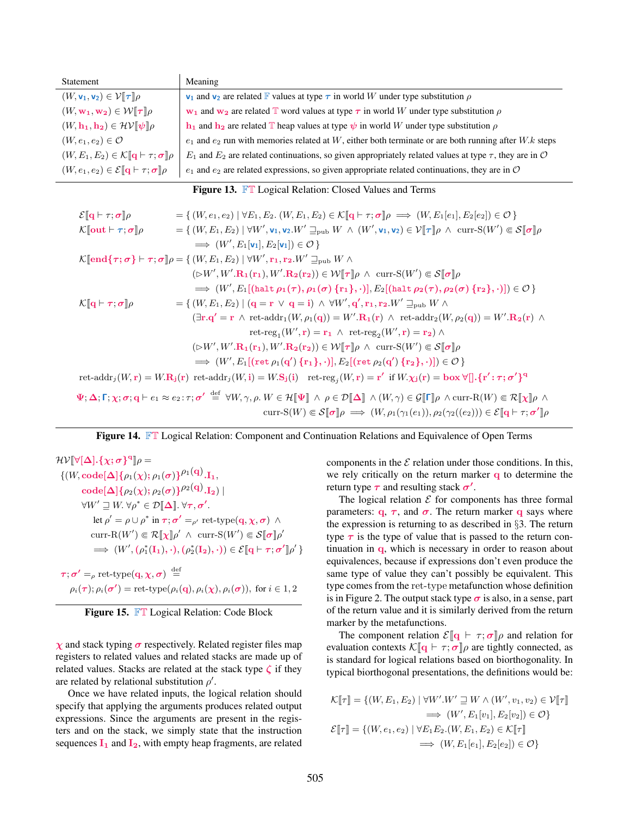| Statement                                                                        | Meaning                                                                                                                    |
|----------------------------------------------------------------------------------|----------------------------------------------------------------------------------------------------------------------------|
| $(W, v_1, v_2) \in \mathcal{V}[\![\boldsymbol{\tau}]\!] \rho$                    | $v_1$ and $v_2$ are related F values at type $\tau$ in world W under type substitution $\rho$                              |
| $(W, \mathbf{w_1}, \mathbf{w_2}) \in \mathcal{W}[\![\boldsymbol{\tau}]\!] \rho$  | $\mathbf{w}_1$ and $\mathbf{w}_2$ are related T word values at type $\tau$ in world W under type substitution $\rho$       |
| $(W, h_1, h_2) \in \mathcal{HV}[\psi]\rho$                                       | $\mathbf{h}_1$ and $\mathbf{h}_2$ are related T heap values at type $\psi$ in world W under type substitution $\rho$       |
| $(W, e_1, e_2) \in \mathcal{O}$                                                  | $e_1$ and $e_2$ run with memories related at W, either both terminate or are both running after W.k steps                  |
| $(W, E_1, E_2) \in \mathcal{K}[\![\mathbf{q} \vdash \tau; \pmb{\sigma}]\!] \rho$ | $E_1$ and $E_2$ are related continuations, so given appropriately related values at type $\tau$ , they are in $\mathcal O$ |
| $(W, e_1, e_2) \in \mathcal{E}[\mathbf{q} \vdash \tau; \boldsymbol{\sigma}]\rho$ | $e_1$ and $e_2$ are related expressions, so given appropriate related continuations, they are in $\mathcal O$              |

Figure 13. FT Logical Relation: Closed Values and Terms

| $\mathcal{E}[\![\mathbf{q}\!+\!\tau;\boldsymbol{\sigma}]\!]\rho$                    | = { $(W, e_1, e_2)   \forall E_1, E_2$ . $(W, E_1, E_2) \in \mathcal{K}[\![\mathbf{q} \vdash \tau; \sigma]\!] \rho \implies (W, E_1[e_1], E_2[e_2]) \in \mathcal{O} \}$                                                                                                                                                                                                                                                                                                                                            |
|-------------------------------------------------------------------------------------|--------------------------------------------------------------------------------------------------------------------------------------------------------------------------------------------------------------------------------------------------------------------------------------------------------------------------------------------------------------------------------------------------------------------------------------------------------------------------------------------------------------------|
| $\mathcal{K}[\![\mathbf{out}\!\vdash\!\tau;\pmb{\sigma}]\!] \rho$                   | $=\{(W,E_1,E_2)\mid \forall W',\mathbf{v}_1,\mathbf{v}_2.W'\sqsupseteq_{\text{pub}} W \wedge (W',\mathbf{v}_1,\mathbf{v}_2)\in \mathcal{V}[\![\tau]\!] \rho \wedge \text{curr-S}(W')\Subset \mathcal{S}[\![\sigma]\!] \rho$                                                                                                                                                                                                                                                                                        |
|                                                                                     | $\implies$ $(W', E_1[\mathbf{v}_1], E_2[\mathbf{v}_1]) \in \mathcal{O}$                                                                                                                                                                                                                                                                                                                                                                                                                                            |
|                                                                                     | $\mathcal{K}[\mathbf{end}\{\boldsymbol{\tau};\boldsymbol{\sigma}\} \vdash \boldsymbol{\tau};\boldsymbol{\sigma}]\rho = \{(W,E_1,E_2) \mid \forall W',\mathbf{r}_1,\mathbf{r}_2.W' \sqsupseteq_{\text{pub}} W \wedge$                                                                                                                                                                                                                                                                                               |
|                                                                                     | $(\triangleright W', W', \mathbf{R_1}(\mathbf{r}_1), W', \mathbf{R_2}(\mathbf{r}_2)) \in W[\![\tau]\!] \rho \wedge \text{curr-S}(W') \in \mathcal{S}[\![\sigma]\!] \rho$                                                                                                                                                                                                                                                                                                                                           |
|                                                                                     | $\implies (W', E_1[(\mathtt{halt}\,\rho_1(\tau), \rho_1(\sigma)\,\{\mathtt{r}_1\}, \cdot)], E_2[(\mathtt{halt}\,\rho_2(\tau), \rho_2(\sigma)\,\{\mathtt{r}_2\}, \cdot)]) \in \mathcal{O}\}$                                                                                                                                                                                                                                                                                                                        |
| $\mathcal{K}[\![\mathbf{q}\!\vdash\!\boldsymbol{\tau};\boldsymbol{\sigma}]\!] \rho$ | $=\{(W,E_1,E_2) \mid (\mathbf{q}=\mathbf{r} \lor \mathbf{q}=\mathbf{i}) \land \forall W',\mathbf{q'},\mathbf{r}_1,\mathbf{r}_2.W' \sqsupseteq_{\text{pub}} W \land \mathbf{q} \}$                                                                                                                                                                                                                                                                                                                                  |
|                                                                                     | $(\exists \mathbf{r} \cdot \mathbf{q'} = \mathbf{r} \wedge \text{ret-addr}_1(W, \rho_1(\mathbf{q})) = W'.\mathbf{R}_1(\mathbf{r}) \wedge \text{ret-addr}_2(W, \rho_2(\mathbf{q})) = W'.\mathbf{R}_2(\mathbf{r}) \wedge$                                                                                                                                                                                                                                                                                            |
|                                                                                     | ret-reg <sub>1</sub> $(W', \mathbf{r}) = \mathbf{r}_1 \wedge \text{ret-reg}_2(W', \mathbf{r}) = \mathbf{r}_2 \wedge$                                                                                                                                                                                                                                                                                                                                                                                               |
|                                                                                     | $(\triangleright W', W', \mathbf{R_1}(\mathbf{r}_1), W', \mathbf{R_2}(\mathbf{r}_2)) \in W[\![\tau]\!] \rho \wedge \text{curr-S}(W') \in \mathcal{S}[\![\sigma]\!] \rho$                                                                                                                                                                                                                                                                                                                                           |
|                                                                                     | $\implies (W',E_1[(\mathsf{ret}\,\rho_1(\mathbf{q}')\,\{\mathbf{r_1}\},\cdot)],E_2[(\mathsf{ret}\,\rho_2(\mathbf{q}')\,\{\mathbf{r_2}\},\cdot)])\in\mathcal{O}\,\}$                                                                                                                                                                                                                                                                                                                                                |
|                                                                                     | $\text{ret-addr}_j(W, r) = W \cdot \mathbf{R}_j(r)$ $\text{ret-addr}_j(W, i) = W \cdot \mathbf{S}_j(i)$ $\text{ret-reg}_j(W, r) = r'$ if $W \cdot \chi_j(r) = \mathbf{box } \forall [\cdot, \{r' : \tau; \sigma'\}^q]$                                                                                                                                                                                                                                                                                             |
|                                                                                     | $\Psi;\Delta;\Gamma;\chi;\sigma;\mathbf{q}\vdash e_1\approx e_2:\tau;\sigma'\stackrel{\mathrm{def}}{=}\forall W,\gamma,\rho,W\in\mathcal{H}[\![\Psi]\!]\ \wedge\ \rho\in\mathcal{D}[\![\Delta]\!] \ \wedge(W,\gamma)\in\mathcal{G}[\![\Gamma]\!] \rho\ \wedge\mathrm{curr}\text{-}\mathrm{R}(W)\Subset\mathcal{R}[\![\chi]\!] \rho\ \wedge\mathrm{R}(\mathcal{G})\subset\mathcal{R}[\![\chi]\!] \rho\ \wedge\mathrm{R}(\mathcal{G})\subset\mathcal{R}[\![\chi]\!] \rho\ \wedge\mathrm{R}(\mathcal{G})\subset\math$ |
|                                                                                     | curr-S(W) $\in \mathcal{S}[\![\boldsymbol{\sigma}]\!] \rho \implies (W, \rho_1(\gamma_1(e_1)), \rho_2(\gamma_2((e_2))) \in \mathcal{E}[\![\mathbf{q} \vdash \tau; \boldsymbol{\sigma}']\!] \rho$                                                                                                                                                                                                                                                                                                                   |

Figure 14. FT Logical Relation: Component and Continuation Relations and Equivalence of Open Terms

 ${\cal H}{\cal V}[\![\forall[\Delta]\! .\{\chi;\sigma\}^{\rm q}]\!] \rho =$  $\{(W,\operatorname{\mathbf{code}}[\mathbf{\Delta}]\{\rho_1(\boldsymbol{\chi});\rho_1(\boldsymbol{\sigma})\}^{\rho_1(\mathbf{q})}.\mathbf{I}_1,$  $\text{code}[\Delta]\{\rho_2(\chi); \rho_2(\sigma)\}^{\rho_2(\mathbf{q})}.\mathbf{I_2})\mid$  $\forall W' \sqsupseteq W. \,\forall \rho^* \in \mathcal{D}[\![\Delta]\!]. \,\forall \tau, \sigma'.$ let  $\rho' = \rho \cup \rho^*$  in  $\tau; \sigma' =_{\rho'} \text{ret-type}(q, \chi, \sigma)$   $\wedge$ curr-R $(W') \in \mathcal{R}[\![\chi]\!] \rho' \wedge \text{curr-S}(W') \in \mathcal{S}[\![\sigma]\!] \rho'$  $\implies (W', (\rho_1^*(\mathbf{I}_1),\cdot), (\rho_2^*(\mathbf{I}_2),\cdot)) \in \mathcal{E}[\![\mathbf{q}\vdash \tau;\sigma']\!] \rho' \}$  $\boldsymbol{\tau};\boldsymbol{\sigma'}=\rho \text{ ret-type}(\mathbf{q},\boldsymbol{\chi},\boldsymbol{\sigma})\stackrel{\text{def}}{=}$  $\rho_i(\tau)$ ;  $\rho_i(\sigma') =$  ret-type $(\rho_i(q), \rho_i(\chi), \rho_i(\sigma))$ , for  $i \in 1, 2$ 



 $\chi$  and stack typing  $\sigma$  respectively. Related register files map registers to related values and related stacks are made up of related values. Stacks are related at the stack type  $\zeta$  if they are related by relational substitution  $\rho'$ .

Once we have related inputs, the logical relation should specify that applying the arguments produces related output expressions. Since the arguments are present in the registers and on the stack, we simply state that the instruction sequences  $I_1$  and  $I_2$ , with empty heap fragments, are related components in the  $\mathcal E$  relation under those conditions. In this, we rely critically on the return marker q to determine the return type  $\tau$  and resulting stack  $\sigma'$ .

The logical relation  $\mathcal E$  for components has three formal parameters:  $\mathbf{q}, \tau$ , and  $\sigma$ . The return marker q says where the expression is returning to as described in §3. The return type  $\tau$  is the type of value that is passed to the return continuation in q, which is necessary in order to reason about equivalences, because if expressions don't even produce the same type of value they can't possibly be equivalent. This type comes from the ret-type metafunction whose definition is in Figure 2. The output stack type  $\sigma$  is also, in a sense, part of the return value and it is similarly derived from the return marker by the metafunctions.

The component relation  $\mathcal{E}[\mathbf{q} \models \tau; \sigma]$  and relation for evaluation contexts  $\mathcal{K}[\![\mathbf{q}]\!] \vdash \tau; \sigma[\![\rho]$  are tightly connected, as is standard for logical relations based on biorthogonality. In typical biorthogonal presentations, the definitions would be:

$$
\mathcal{K}[\![\tau]\!] = \{ (W, E_1, E_2) \mid \forall W'. W' \sqsupseteq W \land (W', v_1, v_2) \in \mathcal{V}[\![\tau]\!]
$$
  
\n
$$
\implies (W', E_1[v_1], E_2[v_2]) \in \mathcal{O} \}
$$
  
\n
$$
\mathcal{E}[\![\tau]\!] = \{ (W, e_1, e_2) \mid \forall E_1 E_2. (W, E_1, E_2) \in \mathcal{K}[\![\tau]\!]
$$
  
\n
$$
\implies (W, E_1[e_1], E_2[e_2]) \in \mathcal{O} \}
$$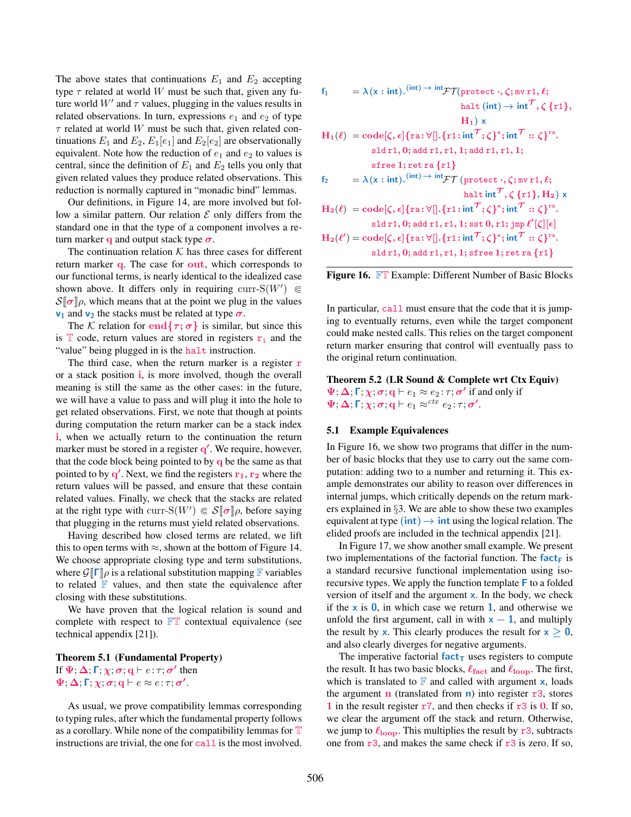The above states that continuations  $E_1$  and  $E_2$  accepting type  $\tau$  related at world W must be such that, given any future world  $W'$  and  $\tau$  values, plugging in the values results in related observations. In turn, expressions  $e_1$  and  $e_2$  of type  $\tau$  related at world W must be such that, given related continuations  $E_1$  and  $E_2$ ,  $E_1[e_1]$  and  $E_2[e_2]$  are observationally equivalent. Note how the reduction of  $e_1$  and  $e_2$  to values is central, since the definition of  $E_1$  and  $E_2$  tells you only that given related values they produce related observations. This reduction is normally captured in "monadic bind" lemmas.

Our definitions, in Figure 14, are more involved but follow a similar pattern. Our relation  $\mathcal E$  only differs from the standard one in that the type of a component involves a return marker q and output stack type  $\sigma$ .

The continuation relation  $K$  has three cases for different return marker q. The case for out, which corresponds to our functional terms, is nearly identical to the idealized case shown above. It differs only in requiring curr-S( $W'$ )  $\in$  $\mathcal{S}[\sigma]\rho$ , which means that at the point we plug in the values  $v_1$  and  $v_2$  the stacks must be related at type  $\sigma$ .

The K relation for end $\{\tau, \sigma\}$  is similar, but since this is  $\mathbb T$  code, return values are stored in registers  $r_i$  and the "value" being plugged in is the halt instruction.

The third case, when the return marker is a register  $r$ or a stack position i, is more involved, though the overall meaning is still the same as the other cases: in the future, we will have a value to pass and will plug it into the hole to get related observations. First, we note that though at points during computation the return marker can be a stack index i, when we actually return to the continuation the return marker must be stored in a register q'. We require, however, that the code block being pointed to by  $q$  be the same as that pointed to by  $q'$ . Next, we find the registers  $r_1$ ,  $r_2$  where the return values will be passed, and ensure that these contain related values. Finally, we check that the stacks are related at the right type with curr-S( $W'$ )  $\in \mathcal{S}[\![\sigma]\!] \rho$ , before saying that plugging in the returns must yield related observations.

Having described how closed terms are related, we lift this to open terms with  $\approx$ , shown at the bottom of Figure 14. We choose appropriate closing type and term substitutions, where  $\mathcal{G}[\![\Gamma]\!]$   $\rho$  is a relational substitution mapping  $\mathbb F$  variables to related  $\mathbb F$  values, and then state the equivalence after closing with these substitutions.

We have proven that the logical relation is sound and complete with respect to  $\mathbb{FT}$  contextual equivalence (see technical appendix [21]).

# Theorem 5.1 (Fundamental Property) If  $\Psi; \Delta;$  Γ;  $\chi; \sigma;$  q  $\vdash e; \tau; \sigma'$  then  $\Psi$ ;  $\Delta$ ;  $\Gamma$ ;  $\chi$ ;  $\sigma$ ;  $\mathbf{q} \vdash e \approx e$ :  $\tau$ ;  $\sigma'$ .

As usual, we prove compatibility lemmas corresponding to typing rules, after which the fundamental property follows as a corollary. While none of the compatibility lemmas for  $T$ instructions are trivial, the one for call is the most involved.

$$
f_1 = \lambda(x : int).^{(int) \to int} \mathcal{FT}(\text{protect}\cdot,\zeta;\text{mv}\,r1,\ell; \text{halt (int)} \to int^{\mathcal{T}}, \zeta \{r1\}, \qquad \text{halt} \, (\text{int}) \to int^{\mathcal{T}}, \zeta \{r1\}, \qquad \text{H}_1 \times
$$
\n
$$
H_1(\ell) = \text{code}[\zeta, \epsilon] \{ra : \forall [\cdot, \{r1 : int^{\mathcal{T}}; \zeta\}^{\epsilon}; int^{\mathcal{T}} :: \zeta\}^{ra}.
$$
\n
$$
\text{slot } r1, r1, 1; \text{add } r1, r1, 1;
$$
\n
$$
\text{sffree } 1; \text{ret } ra \{r1\}
$$
\n
$$
f_2 = \lambda(x : int).^{(int) \to int} \mathcal{FT}(\text{protect }\cdot,\zeta;\text{mv } r1,\ell; \text{halt int}^{\mathcal{T}}, \zeta \{r1\}, \text{H}_2) \times
$$
\n
$$
H_2(\ell) = \text{code}[\zeta, \epsilon] \{ra : \forall [\cdot, \{r1 : int^{\mathcal{T}}; \zeta\}^{\epsilon}; int^{\mathcal{T}} :: \zeta\}^{ra}.
$$
\n
$$
\text{slot } r1, r1, 1; \text{sst } 0, r1; \text{imp } \ell'[\zeta][\epsilon]
$$
\n
$$
H_2(\ell') = \text{code}[\zeta, \epsilon] \{ra : \forall [\cdot, \{r1 : int^{\mathcal{T}}; \zeta\}^{\epsilon}; int^{\mathcal{T}} :: \zeta\}^{ra}.
$$
\n
$$
\text{slot } r1, r1, 1; \text{sffree } 1; \text{ret } ra \{r1\}
$$



In particular, call must ensure that the code that it is jumping to eventually returns, even while the target component could make nested calls. This relies on the target component return marker ensuring that control will eventually pass to the original return continuation.

Theorem 5.2 (LR Sound & Complete wrt Ctx Equiv)  $\Psi$ ;  $\Delta$ ;  $\Gamma$ ;  $\chi$ ;  $\sigma$ ;  $\mathbf{q} \vdash e_1 \approx e_2$ :  $\tau$ ;  $\sigma'$  if and only if  $\Psi$ ;  $\Delta$ ;  $\Gamma$ ;  $\chi$ ;  $\sigma$ ;  $\mathbf{q} \vdash e_1 \approx^{ctx} e_2$ :  $\tau$ ;  $\sigma'$ .

# 5.1 Example Equivalences

In Figure 16, we show two programs that differ in the number of basic blocks that they use to carry out the same computation: adding two to a number and returning it. This example demonstrates our ability to reason over differences in internal jumps, which critically depends on the return markers explained in §3. We are able to show these two examples equivalent at type  $(int) \rightarrow int$  using the logical relation. The elided proofs are included in the technical appendix [21].

In Figure 17, we show another small example. We present two implementations of the factorial function. The **fact**<sub>F</sub> is a standard recursive functional implementation using isorecursive types. We apply the function template F to a folded version of itself and the argument  $x$ . In the body, we check if the  $x$  is  $\overline{0}$ , in which case we return 1, and otherwise we unfold the first argument, call in with  $x - 1$ , and multiply the result by x. This clearly produces the result for  $x > 0$ , and also clearly diverges for negative arguments.

The imperative factorial  $fact<sub>T</sub>$  uses registers to compute the result. It has two basic blocks,  $\ell_{\text{fact}}$  and  $\ell_{\text{loop}}$ . The first, which is translated to  $\mathbb F$  and called with argument **x**, loads the argument **n** (translated from **n**) into register  $r3$ , stores 1 in the result register  $r7$ , and then checks if  $r3$  is 0. If so, we clear the argument off the stack and return. Otherwise, we jump to  $\ell_{\text{loop}}$ . This multiplies the result by  $r3$ , subtracts one from  $r3$ , and makes the same check if  $r3$  is zero. If so,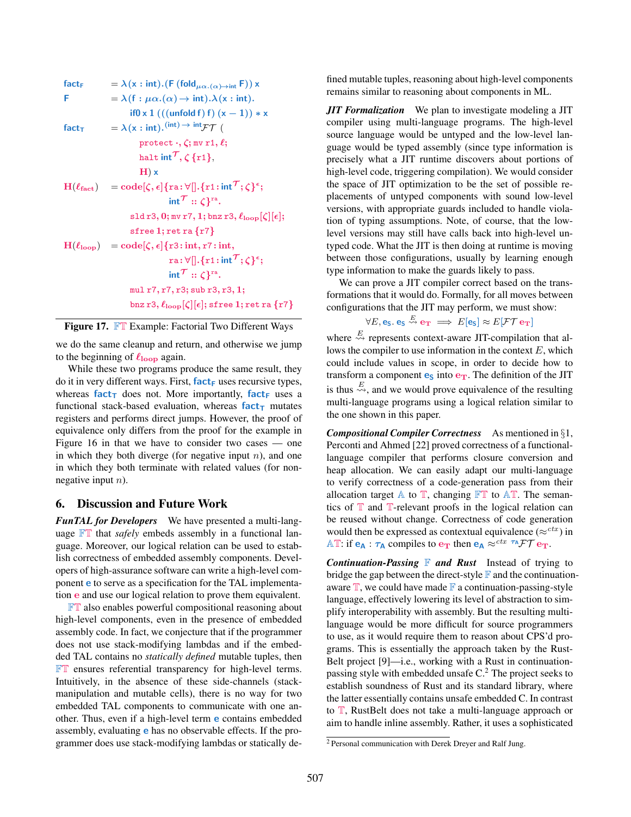$$
fact_{F} = \lambda(x : int).(F (fold_{\mu\alpha.(\alpha) \to int} F)) x
$$
\n
$$
F = \lambda(f : \mu\alpha.(\alpha) \to int). \lambda(x : int).
$$
\n
$$
if0 x 1 (((unfold f) f) (x - 1)) * x
$$
\n
$$
fact_{T} = \lambda(x : int).^{(int) \to int} \mathcal{F}\mathcal{T}
$$
\n
$$
protect \cdot, \zeta; mv r1, \ell;
$$
\n
$$
halt int^{\mathcal{T}}, \zeta \{r1\},
$$
\n
$$
H) x
$$
\n
$$
H(\ell_{fact}) = code[\zeta, \epsilon] {ra : \forall []. {r1 : int}^{\mathcal{T}}; \zeta \}^{\epsilon};
$$
\n
$$
int^{\mathcal{T}} :: \zeta \}^{ra}.
$$
\n
$$
s1d r3, 0; mv r7, 1; brz r3, \ell_{loop}[\zeta][\epsilon];
$$
\n
$$
sfre e 1; ret r a {r7}
$$
\n
$$
H(\ell_{loop}) = code[\zeta, \epsilon] {r3 : int, r7 : int, r3 : \zeta \}^{\epsilon};
$$
\n
$$
int^{\mathcal{T}} :: \zeta \}^{ra}.
$$
\n
$$
m1 r7, r7, r3; sub r3, r3, 1;
$$
\n
$$
brz r3, \ell_{loop}[\zeta][\epsilon]; sfree 1; ret r a {r7}
$$

|  | Figure 17. FT Example: Factorial Two Different Ways |  |
|--|-----------------------------------------------------|--|
|  |                                                     |  |

we do the same cleanup and return, and otherwise we jump to the beginning of  $\ell_{\text{loop}}$  again.

While these two programs produce the same result, they do it in very different ways. First,  $fact_F$  uses recursive types, whereas  $fact<sub>T</sub>$  does not. More importantly,  $fact<sub>F</sub>$  uses a functional stack-based evaluation, whereas  $fact_{\text{t}}$  mutates registers and performs direct jumps. However, the proof of equivalence only differs from the proof for the example in Figure 16 in that we have to consider two cases — one in which they both diverge (for negative input  $n$ ), and one in which they both terminate with related values (for nonnegative input  $n$ ).

### 6. Discussion and Future Work

*FunTAL for Developers* We have presented a multi-language FT that *safely* embeds assembly in a functional language. Moreover, our logical relation can be used to establish correctness of embedded assembly components. Developers of high-assurance software can write a high-level component e to serve as a specification for the TAL implementation e and use our logical relation to prove them equivalent.

**FT** also enables powerful compositional reasoning about high-level components, even in the presence of embedded assembly code. In fact, we conjecture that if the programmer does not use stack-modifying lambdas and if the embedded TAL contains no *statically defined* mutable tuples, then FT ensures referential transparency for high-level terms. Intuitively, in the absence of these side-channels (stackmanipulation and mutable cells), there is no way for two embedded TAL components to communicate with one another. Thus, even if a high-level term e contains embedded assembly, evaluating e has no observable effects. If the programmer does use stack-modifying lambdas or statically de-

fined mutable tuples, reasoning about high-level components remains similar to reasoning about components in ML.

*JIT Formalization* We plan to investigate modeling a JIT compiler using multi-language programs. The high-level source language would be untyped and the low-level language would be typed assembly (since type information is precisely what a JIT runtime discovers about portions of high-level code, triggering compilation). We would consider the space of JIT optimization to be the set of possible replacements of untyped components with sound low-level versions, with appropriate guards included to handle violation of typing assumptions. Note, of course, that the lowlevel versions may still have calls back into high-level untyped code. What the JIT is then doing at runtime is moving between those configurations, usually by learning enough type information to make the guards likely to pass.

We can prove a JIT compiler correct based on the transformations that it would do. Formally, for all moves between configurations that the JIT may perform, we must show:

$$
\forall E, \mathbf{e}_\mathsf{S}. \mathbf{e}_\mathsf{S} \stackrel{E}{\leadsto} \mathbf{e}_\mathsf{T} \implies E[\mathbf{e}_\mathsf{S}] \approx E[\mathcal{FT} \mathbf{e}_\mathsf{T}]
$$

where  $\stackrel{E}{\leadsto}$  represents context-aware JIT-compilation that allows the compiler to use information in the context  $E$ , which could include values in scope, in order to decide how to transform a component  $\mathbf{e}_s$  into  $\mathbf{e}_T$ . The definition of the JIT is thus  $\stackrel{E}{\leadsto}$ , and we would prove equivalence of the resulting multi-language programs using a logical relation similar to the one shown in this paper.

*Compositional Compiler Correctness* As mentioned in §1, Perconti and Ahmed [22] proved correctness of a functionallanguage compiler that performs closure conversion and heap allocation. We can easily adapt our multi-language to verify correctness of a code-generation pass from their allocation target  $\mathbb A$  to  $\mathbb T$ , changing  $\mathbb F\mathbb T$  to  $\mathbb A\mathbb T$ . The semantics of  $T$  and  $T$ -relevant proofs in the logical relation can be reused without change. Correctness of code generation would then be expressed as contextual equivalence ( $\approx^{ctx}$ ) in AT: if  $e_A : \tau_A$  compiles to  $e_T$  then  $e_A \approx c^{tx} \tau_A \mathcal{F} \mathcal{T} e_T$ .

*Continuation-Passing* **F** and Rust Instead of trying to bridge the gap between the direct-style  $\mathbb F$  and the continuationaware  $\mathbb T$ , we could have made  $\mathbb F$  a continuation-passing-style language, effectively lowering its level of abstraction to simplify interoperability with assembly. But the resulting multilanguage would be more difficult for source programmers to use, as it would require them to reason about CPS'd programs. This is essentially the approach taken by the Rust-Belt project [9]—i.e., working with a Rust in continuationpassing style with embedded unsafe C.<sup>2</sup> The project seeks to establish soundness of Rust and its standard library, where the latter essentially contains unsafe embedded C. In contrast to T, RustBelt does not take a multi-language approach or aim to handle inline assembly. Rather, it uses a sophisticated

<sup>2</sup> Personal communication with Derek Dreyer and Ralf Jung.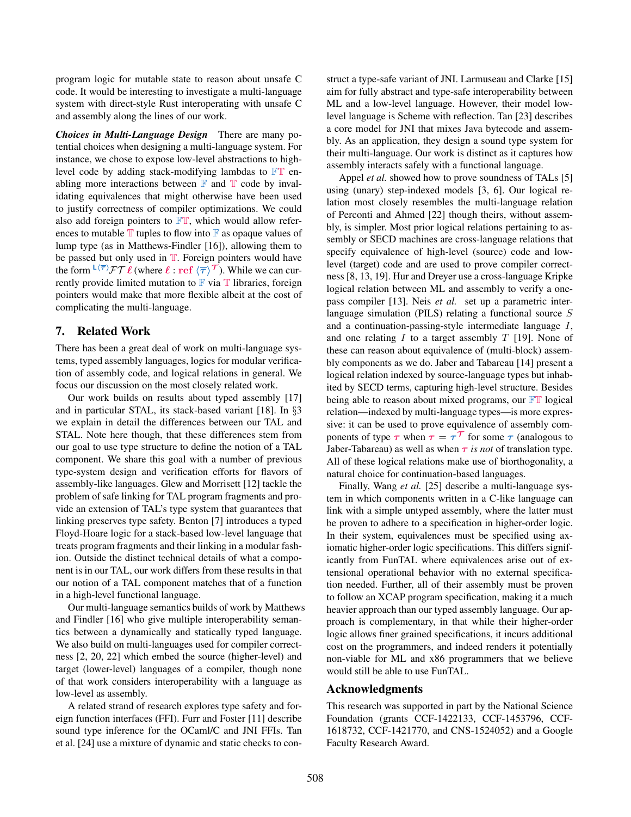program logic for mutable state to reason about unsafe C code. It would be interesting to investigate a multi-language system with direct-style Rust interoperating with unsafe C and assembly along the lines of our work.

*Choices in Multi-Language Design* There are many potential choices when designing a multi-language system. For instance, we chose to expose low-level abstractions to highlevel code by adding stack-modifying lambdas to  $\mathbb{FT}$  enabling more interactions between  $\mathbb F$  and  $\mathbb T$  code by invalidating equivalences that might otherwise have been used to justify correctness of compiler optimizations. We could also add foreign pointers to  $\mathbb{FT}$ , which would allow references to mutable  $\mathbb T$  tuples to flow into  $\mathbb F$  as opaque values of lump type (as in Matthews-Findler [16]), allowing them to be passed but only used in  $T$ . Foreign pointers would have the form  $L \langle \overline{\tau} \rangle \mathcal{FT} \ell$  (where  $\ell : \mathrm{ref} \langle \overline{\tau} \rangle \mathcal{T}$ ). While we can currently provide limited mutation to  $\mathbb F$  via  $\mathbb T$  libraries, foreign pointers would make that more flexible albeit at the cost of complicating the multi-language.

# 7. Related Work

There has been a great deal of work on multi-language systems, typed assembly languages, logics for modular verification of assembly code, and logical relations in general. We focus our discussion on the most closely related work.

Our work builds on results about typed assembly [17] and in particular STAL, its stack-based variant [18]. In §3 we explain in detail the differences between our TAL and STAL. Note here though, that these differences stem from our goal to use type structure to define the notion of a TAL component. We share this goal with a number of previous type-system design and verification efforts for flavors of assembly-like languages. Glew and Morrisett [12] tackle the problem of safe linking for TAL program fragments and provide an extension of TAL's type system that guarantees that linking preserves type safety. Benton [7] introduces a typed Floyd-Hoare logic for a stack-based low-level language that treats program fragments and their linking in a modular fashion. Outside the distinct technical details of what a component is in our TAL, our work differs from these results in that our notion of a TAL component matches that of a function in a high-level functional language.

Our multi-language semantics builds of work by Matthews and Findler [16] who give multiple interoperability semantics between a dynamically and statically typed language. We also build on multi-languages used for compiler correctness [2, 20, 22] which embed the source (higher-level) and target (lower-level) languages of a compiler, though none of that work considers interoperability with a language as low-level as assembly.

A related strand of research explores type safety and foreign function interfaces (FFI). Furr and Foster [11] describe sound type inference for the OCaml/C and JNI FFIs. Tan et al. [24] use a mixture of dynamic and static checks to construct a type-safe variant of JNI. Larmuseau and Clarke [15] aim for fully abstract and type-safe interoperability between ML and a low-level language. However, their model lowlevel language is Scheme with reflection. Tan [23] describes a core model for JNI that mixes Java bytecode and assembly. As an application, they design a sound type system for their multi-language. Our work is distinct as it captures how assembly interacts safely with a functional language.

Appel *et al.* showed how to prove soundness of TALs [5] using (unary) step-indexed models [3, 6]. Our logical relation most closely resembles the multi-language relation of Perconti and Ahmed [22] though theirs, without assembly, is simpler. Most prior logical relations pertaining to assembly or SECD machines are cross-language relations that specify equivalence of high-level (source) code and lowlevel (target) code and are used to prove compiler correctness [8, 13, 19]. Hur and Dreyer use a cross-language Kripke logical relation between ML and assembly to verify a onepass compiler [13]. Neis *et al.* set up a parametric interlanguage simulation (PILS) relating a functional source S and a continuation-passing-style intermediate language I, and one relating  $I$  to a target assembly  $T$  [19]. None of these can reason about equivalence of (multi-block) assembly components as we do. Jaber and Tabareau [14] present a logical relation indexed by source-language types but inhabited by SECD terms, capturing high-level structure. Besides being able to reason about mixed programs, our  $\mathbb{FT}$  logical relation—indexed by multi-language types—is more expressive: it can be used to prove equivalence of assembly components of type  $\tau$  when  $\tau = \tau^{\mathcal{T}}$  for some  $\tau$  (analogous to Jaber-Tabareau) as well as when  $\tau$  *is not* of translation type. All of these logical relations make use of biorthogonality, a natural choice for continuation-based languages.

Finally, Wang *et al.* [25] describe a multi-language system in which components written in a C-like language can link with a simple untyped assembly, where the latter must be proven to adhere to a specification in higher-order logic. In their system, equivalences must be specified using axiomatic higher-order logic specifications. This differs significantly from FunTAL where equivalences arise out of extensional operational behavior with no external specification needed. Further, all of their assembly must be proven to follow an XCAP program specification, making it a much heavier approach than our typed assembly language. Our approach is complementary, in that while their higher-order logic allows finer grained specifications, it incurs additional cost on the programmers, and indeed renders it potentially non-viable for ML and x86 programmers that we believe would still be able to use FunTAL.

# Acknowledgments

This research was supported in part by the National Science Foundation (grants CCF-1422133, CCF-1453796, CCF-1618732, CCF-1421770, and CNS-1524052) and a Google Faculty Research Award.